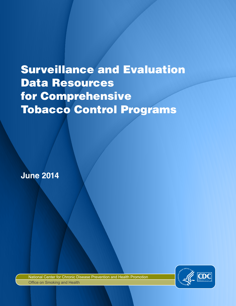# Surveillance and Evaluation Data Resources for Comprehensive Tobacco Control Programs

**June 2014**



National Center for Chronic Disease Prevention and Health Promotion Office on Smoking and Health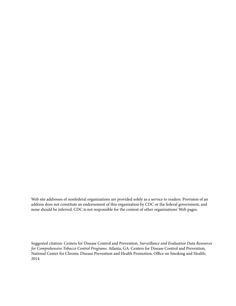Web site addresses of nonfederal organizations are provided solely as a service to readers. Provision of an address does not constitute an endorsement of this organization by CDC or the federal government, and none should be inferred. CDC is not responsible for the content of other organizations' Web pages.

Suggested citation: Centers for Disease Control and Prevention. *Surveillance and Evaluation Data Resources for Comprehensive Tobacco Control Programs*. Atlanta, GA: Centers for Disease Control and Prevention, National Center for Chronic Disease Prevention and Health Promotion, Office on Smoking and Health; 2014.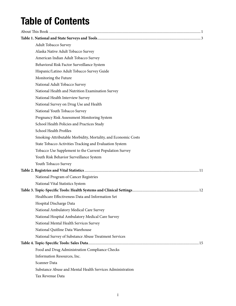### Table of Contents

| Adult Tobacco Survey                                          |  |
|---------------------------------------------------------------|--|
| Alaska Native Adult Tobacco Survey                            |  |
| American Indian Adult Tobacco Survey                          |  |
| Behavioral Risk Factor Surveillance System                    |  |
| Hispanic/Latino Adult Tobacco Survey Guide                    |  |
| Monitoring the Future                                         |  |
| National Adult Tobacco Survey                                 |  |
| National Health and Nutrition Examination Survey              |  |
| National Health Interview Survey                              |  |
| National Survey on Drug Use and Health                        |  |
| National Youth Tobacco Survey                                 |  |
| Pregnancy Risk Assessment Monitoring System                   |  |
| School Health Policies and Practices Study                    |  |
| School Health Profiles                                        |  |
| Smoking-Attributable Morbidity, Mortality, and Economic Costs |  |
| State Tobacco Activities Tracking and Evaluation System       |  |
| Tobacco Use Supplement to the Current Population Survey       |  |
| Youth Risk Behavior Surveillance System                       |  |
| Youth Tobacco Survey                                          |  |
|                                                               |  |
| National Program of Cancer Registries                         |  |
| National Vital Statistics System                              |  |
|                                                               |  |
| Healthcare Effectiveness Data and Information Set             |  |
| Hospital Discharge Data                                       |  |
| National Ambulatory Medical Care Survey                       |  |
| National Hospital Ambulatory Medical Care Survey              |  |
| National Mental Health Services Survey                        |  |
| National Quitline Data Warehouse                              |  |
| National Survey of Substance Abuse Treatment Services         |  |
|                                                               |  |
| Food and Drug Administration Compliance Checks                |  |
| Information Resources, Inc.                                   |  |
| Scanner Data                                                  |  |
| Substance Abuse and Mental Health Services Administration     |  |
| Tax Revenue Data                                              |  |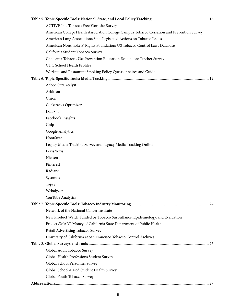| ACTIVE Life Tobacco Free Worksite Survey                                                   |  |
|--------------------------------------------------------------------------------------------|--|
| American College Health Association College Campus Tobacco Cessation and Prevention Survey |  |
| American Lung Association's State Legislated Actions on Tobacco Issues                     |  |
| American Nonsmokers' Rights Foundation: US Tobacco Control Laws Database                   |  |
| California Student Tobacco Survey                                                          |  |
| California Tobacco Use Prevention Education Evaluation: Teacher Survey                     |  |
| CDC School Health Profiles                                                                 |  |
| Worksite and Restaurant Smoking Policy Questionnaires and Guide                            |  |
|                                                                                            |  |
| Adobe SiteCatalyst                                                                         |  |
| Arbitron                                                                                   |  |
| Cision                                                                                     |  |
| Clicktracks Optimizer                                                                      |  |
| DataSift                                                                                   |  |
| Facebook Insights                                                                          |  |
| Gnip                                                                                       |  |
| Google Analytics                                                                           |  |
| HootSuite                                                                                  |  |
| Legacy Media Tracking Survey and Legacy Media Tracking Online                              |  |
| LexisNexis                                                                                 |  |
| Nielsen                                                                                    |  |
| Pinterest                                                                                  |  |
| Radian6                                                                                    |  |
| Sysomos                                                                                    |  |
| <b>Topsy</b>                                                                               |  |
| Webalyzer                                                                                  |  |
| YouTube Analytics                                                                          |  |
|                                                                                            |  |
| Network of the National Cancer Institute                                                   |  |
| New Product Watch, funded by Tobacco Surveillance, Epidemiology, and Evaluation            |  |
| Project SMART Money of California State Department of Public Health                        |  |
| Retail Advertising Tobacco Survey                                                          |  |
| University of California at San Francisco Tobacco Control Archives                         |  |
|                                                                                            |  |
| Global Adult Tobacco Survey                                                                |  |
| Global Health Professions Student Survey                                                   |  |
| Global School Personnel Survey                                                             |  |
| Global School-Based Student Health Survey                                                  |  |
| Global Youth Tobacco Survey                                                                |  |
|                                                                                            |  |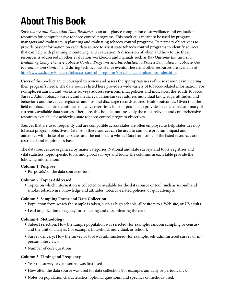## <span id="page-4-0"></span>About This Book

*Surveillance and Evaluation Data Resources* is an at-a-glance compilation of surveillance and evaluation resources for comprehensive tobacco control programs. This booklet is meant to be used by program managers and evaluators in planning and evaluating tobacco control programs. Its primary objective is to provide basic information on each data source to assist state tobacco control programs to identify sources that can help with planning, monitoring, and evaluation. A discussion of when and how to use these resources is addressed in other evaluation workbooks and manuals such as *Key Outcome Indicators for Evaluating Comprehensive Tobacco Control Programs* and *Introduction to Process Evaluation in Tobacco Use Prevention and Control*, and during technical assistance events. These and other resources are available at [http://www.cdc.gov/tobacco/tobacco\\_control\\_programs/surveillance\\_evaluation/index.htm](http://www.cdc.gov/tobacco/tobacco_control_programs/surveillance_evaluation/index.htm).

Users of this booklet are encouraged to review and assess the appropriateness of these resources in meeting their program's needs. The data sources listed here provide a wide variety of tobacco-related information. For example, restaurant and worksite surveys address environmental policies and indicators; the Youth Tobacco Survey, Adult Tobacco Survey, and media evaluation surveys address individual knowledge, attitudes, and behaviors; and the cancer registries and hospital discharge records address health outcomes. Given that the field of tobacco control continues to evolve over time, it is not possible to provide an exhaustive summary of currently available data sources. Therefore, this booklet outlines only the most relevant and comprehensive resources available for achieving state tobacco control program objectives.

Sources that are used frequently and are compatible across states are often employed to help states develop tobacco program objectives. Data from these sources can be used to compare program impact and outcomes with those of other states and the nation as a whole. Data from some of the listed resources are restricted and require purchase.

The data sources are organized by major categories: National and state surveys and tools, registries and vital statistics, topic-specific tools, and global surveys and tools. The columns in each table provide the following information:

#### **Column 1: Purpose**

■ Purpose(s) of the data source or tool.

#### **Column 2: Topics Addressed**

■ Topics on which information is collected or available for the data source or tool, such as secondhand smoke, tobacco use, knowledge and attitudes, tobacco-related policies, or quit attempts.

#### **Column 3: Sampling Frame and Data Collection**

- **•** Population from which the sample is taken, such as high schools, all visitors to a Web site, or US adults.
- Lead organization or agency for collecting and disseminating the data.

#### **Column 4: Methodology**

- Subject selection: How the sample population was selected (for example, random sampling or census) and the unit of analysis (for example, household, individual, or school).
- **Survey delivery:** How the survey or tool was administered (for example, self-administered survey or inperson interview).
- Number of core questions.

#### **Column 5: Timing and Frequency**

- Year the survey or data source was first used.
- § How often the data source was used for data collection (for example, annually or periodically).
- Notes on population characteristics, optional questions, and specifics of methods used.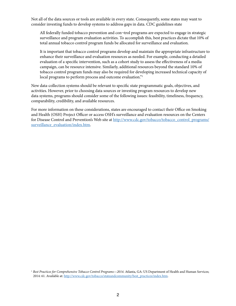Not all of the data sources or tools are available in every state. Consequently, some states may want to consider investing funds to develop systems to address gaps in data. CDC guidelines state

All federally funded tobacco prevention and con¬trol programs are expected to engage in strategic surveillance and program evaluation activities. To accomplish this, best practices dictate that 10% of total annual tobacco control program funds be allocated for surveillance and evaluation.

It is important that tobacco control programs develop and maintain the appropriate infrastructure to enhance their surveillance and evaluation resources as needed. For example, conducting a detailed evaluation of a specific intervention, such as a cohort study to assess the effectiveness of a media campaign, can be resource intensive. Similarly, additional resources beyond the standard 10% of tobacco control program funds may also be required for developing increased technical capacity of local programs to perform process and outcome evaluation."<sup>1</sup>

New data-collection systems should be relevant to specific state programmatic goals, objectives, and activities. However, prior to choosing data sources or investing program resources to develop new data systems, programs should consider some of the following issues: feasibility, timeliness, frequency, comparability, credibility, and available resources.

For more information on these considerations, states are encouraged to contact their Office on Smoking and Health (OSH) Project Officer or access OSH's surveillance and evaluation resources on the Centers for Disease Control and Prevention's Web site at [http://www.cdc.gov/tobacco/tobacco\\_control\\_programs/](http://www.cdc.gov/tobacco/tobacco_control_programs/surveillance_evaluation/index.htm) [surveillance\\_evaluation/index.htm.](http://www.cdc.gov/tobacco/tobacco_control_programs/surveillance_evaluation/index.htm)

<sup>1</sup> *Best Practices for Comprehensive Tobacco Control Programs—2014*. Atlanta, GA: US Department of Health and Human Services; 2014: 61. Available at: [http://www.cdc.gov/tobacco/stateandcommunity/best\\_practices/index.htm](http://www.cdc.gov/tobacco/stateandcommunity/best_practices/index.htm).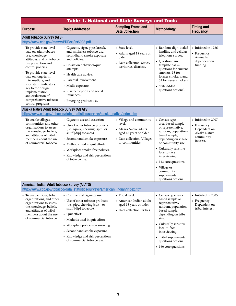<span id="page-6-0"></span>

| <b>Topics Addressed</b>                                                                                                                                                                                                                                                                                                | <b>Sampling Frame and</b><br><b>Data Collection</b>                                                                                      | <b>Methodology</b>                                                                                                                                                                                                                                                                                      | <b>Timing and</b><br><b>Frequency</b>                                                           |  |  |  |
|------------------------------------------------------------------------------------------------------------------------------------------------------------------------------------------------------------------------------------------------------------------------------------------------------------------------|------------------------------------------------------------------------------------------------------------------------------------------|---------------------------------------------------------------------------------------------------------------------------------------------------------------------------------------------------------------------------------------------------------------------------------------------------------|-------------------------------------------------------------------------------------------------|--|--|--|
| <b>Adult Tobacco Survey (ATS)</b><br>http://www.cdc.gov/mmwr/PDF/ss/ss5903.pdf                                                                                                                                                                                                                                         |                                                                                                                                          |                                                                                                                                                                                                                                                                                                         |                                                                                                 |  |  |  |
| • Cigarette, cigar, pipe, kretek,<br>and smokeless tobacco use,<br>secondhand smoke exposure,<br>and policies.<br>• Cessation behaviors/quit<br>attempts.<br>• Health care advice.<br>• Parental involvement.<br>• Media exposure.<br>• Risk perception and social<br>influences.<br>• Emerging product use.           | • State level.<br>• Adults aged 18 years or<br>older.<br>• Data collection: States,<br>territories, districts.                           | • Random-digit-dialed<br>landline and cellular<br>telephone survey.<br>• Questionnaire<br>template has 49<br>questions for current<br>smokers, 38 for<br>former smokers, and<br>34 for never smokers.<br>• State-added<br>questions optional.                                                           | • Initiated in 1986.<br>• Frequency:<br>Annually,<br>dependent on<br>funding.                   |  |  |  |
| Alaska Native Adult Tobacco Survey (AN ATS)                                                                                                                                                                                                                                                                            |                                                                                                                                          |                                                                                                                                                                                                                                                                                                         |                                                                                                 |  |  |  |
| • Cigarette use and cessation.<br>• Use of other tobacco products<br>(i.e., iqmik, chewing [spit], or<br>snuff [dip] tobacco).<br>• Secondhand smoke exposure.<br>• Methods used in quit efforts.<br>• Workplace smoke-free policies.<br>• Knowledge and risk perceptions<br>of tobacco use.                           | • Village and community<br>level.<br>• Alaska Native adults<br>aged 18 years or older.<br>• Data collection: Villages<br>or communities. | • Census type,<br>area-based sample<br>or representative,<br>random, population-<br>based sample,<br>depending on village<br>or community size.<br>• Culturally sensitive<br>face-to-face<br>interviewing.<br>• 143 core questions.<br>• Village or<br>community<br>supplemental<br>questions optional. | • Initiated in 2007.<br>• Frequency:<br>Dependent on<br>Alaska Native<br>community<br>interest. |  |  |  |
| American Indian Adult Tobacco Survey (AI ATS)                                                                                                                                                                                                                                                                          |                                                                                                                                          |                                                                                                                                                                                                                                                                                                         |                                                                                                 |  |  |  |
| • Commercial cigarette use.<br>• Use of other tobacco products<br>(i.e., pipe, chewing [spit], or<br>snuff [dip] tobacco).<br>• Quit efforts.<br>• Methods used in quit efforts.<br>• Workplace policies on smoking.<br>• Secondhand smoke exposure.<br>• Knowledge and risk perceptions<br>of commercial tobacco use. | • Tribal level.<br>• American Indian adults<br>aged 18 years or older.<br>• Data collection: Tribes.                                     | • Census type, area<br>based sample or<br>representative,<br>random, population-<br>based sample,<br>depending on tribe<br>size.<br>• Culturally sensitive<br>face-to-face<br>interviewing.<br>• Tribal supplemental<br>questions optional.<br>• 160 core questions.                                    | • Initiated in 2005.<br>• Frequency:<br>Dependent on<br>tribal interest.                        |  |  |  |
|                                                                                                                                                                                                                                                                                                                        |                                                                                                                                          | http://www.cdc.gov/tobacco/data_statistics/surveys/alaska_native/index.htm<br>http://www.cdc.gov/tobacco/data_statistics/surveys/american_indian/index.htm                                                                                                                                              | <b>Table 1. National and State Surveys and Tools</b>                                            |  |  |  |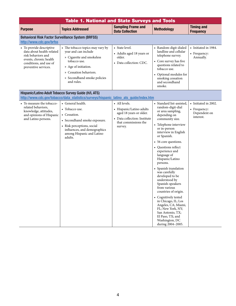|                                                                                                                                                         | <b>Table 1. National and State Surveys and Tools</b>                                                                                                                                                 |                                                                                     |                                                                                                                                                                                                                  |                                                   |
|---------------------------------------------------------------------------------------------------------------------------------------------------------|------------------------------------------------------------------------------------------------------------------------------------------------------------------------------------------------------|-------------------------------------------------------------------------------------|------------------------------------------------------------------------------------------------------------------------------------------------------------------------------------------------------------------|---------------------------------------------------|
| <b>Purpose</b>                                                                                                                                          | <b>Topics Addressed</b>                                                                                                                                                                              | <b>Sampling Frame and</b><br><b>Data Collection</b>                                 | <b>Methodology</b>                                                                                                                                                                                               | <b>Timing and</b><br><b>Frequency</b>             |
| Behavioral Risk Factor Surveillance System (BRFSS)<br>http://www.cdc.gov/brfss                                                                          |                                                                                                                                                                                                      |                                                                                     |                                                                                                                                                                                                                  |                                                   |
| • To provide descriptive<br>data about health-related<br>risk behaviors and<br>events, chronic health<br>conditions, and use of<br>preventive services. | • The tobacco topics may vary by<br>year and can include<br>» Cigarette and smokeless<br>tobacco use.<br>» Age of initiation.<br>» Cessation behaviors.<br>» Secondhand smoke policies<br>and rules. | • State level.<br>• Adults aged 18 years or<br>older.<br>• Data collection: CDC.    | • Random-digit-dialed<br>landline and cellular<br>telephone survey.<br>• Core survey has five<br>questions related to<br>tobacco use.<br>• Optional modules for<br>smoking cessation<br>and secondhand<br>smoke. | • Initiated in 1984.<br>• Frequency:<br>Annually. |
|                                                                                                                                                         | Hispanic/Latino Adult Tobacco Survey Guide (H/L ATS)                                                                                                                                                 |                                                                                     |                                                                                                                                                                                                                  |                                                   |
| • To measure the tobacco-<br>related behaviors,                                                                                                         | http://www.cdc.gov/tobacco/data_statistics/surveys/hispanic_latino_ats_guide/index.htm<br>• General health.                                                                                          | • All levels.                                                                       | • Standard list-assisted,<br>random-digit-dial                                                                                                                                                                   | • Initiated in 2002.                              |
| knowledge, attitudes,<br>and opinions of Hispanic<br>and Latino persons.                                                                                | • Tobacco use.<br>• Cessation.<br>• Secondhand smoke exposure.                                                                                                                                       | • Hispanic/Latino adults<br>aged 18 years or older.<br>• Data collection: Institute | or area sampling,<br>depending on<br>community size.                                                                                                                                                             | • Frequency:<br>Dependent on<br>interest.         |
|                                                                                                                                                         | • Risk perceptions, social<br>influences, and demographics<br>among Hispanic and Latino                                                                                                              | that commissions the<br>survey.                                                     | • Telephone interview<br>or in-person<br>interview in English<br>or Spanish.                                                                                                                                     |                                                   |
|                                                                                                                                                         | adults.                                                                                                                                                                                              |                                                                                     | • 56 core questions.                                                                                                                                                                                             |                                                   |
|                                                                                                                                                         |                                                                                                                                                                                                      |                                                                                     | • Questions reflect<br>experience and<br>language of<br>Hispanic/Latino<br>persons.                                                                                                                              |                                                   |
|                                                                                                                                                         |                                                                                                                                                                                                      |                                                                                     | • Spanish translation<br>was carefully<br>developed to be<br>understood by<br>Spanish-speakers<br>from various<br>countries of origin.                                                                           |                                                   |
|                                                                                                                                                         |                                                                                                                                                                                                      |                                                                                     | • Cognitively tested<br>in Chicago, IL; Los<br>Angeles, CA; Miami,<br>FL; New York, NY;<br>San Antonio, TX;<br>El Paso, TX; and<br>Washington, DC<br>during 2004-2005.                                           |                                                   |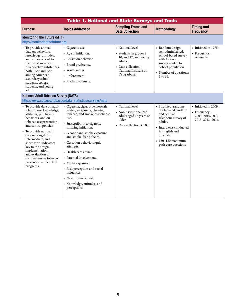| <b>Table 1. National and State Surveys and Tools</b>                                                                                                                                                                                                                                                                                                                              |                                                                                                                                                                                                                                                                                                                                                                                                                                                                          |                                                                                                                                                |                                                                                                                                                                                                             |                                                                              |  |  |  |
|-----------------------------------------------------------------------------------------------------------------------------------------------------------------------------------------------------------------------------------------------------------------------------------------------------------------------------------------------------------------------------------|--------------------------------------------------------------------------------------------------------------------------------------------------------------------------------------------------------------------------------------------------------------------------------------------------------------------------------------------------------------------------------------------------------------------------------------------------------------------------|------------------------------------------------------------------------------------------------------------------------------------------------|-------------------------------------------------------------------------------------------------------------------------------------------------------------------------------------------------------------|------------------------------------------------------------------------------|--|--|--|
| <b>Purpose</b>                                                                                                                                                                                                                                                                                                                                                                    | <b>Topics Addressed</b>                                                                                                                                                                                                                                                                                                                                                                                                                                                  | <b>Sampling Frame and</b><br><b>Data Collection</b>                                                                                            | <b>Methodology</b>                                                                                                                                                                                          | <b>Timing and</b><br><b>Frequency</b>                                        |  |  |  |
|                                                                                                                                                                                                                                                                                                                                                                                   | <b>Monitoring the Future (MTF)</b><br>http://monitoringthefuture.org                                                                                                                                                                                                                                                                                                                                                                                                     |                                                                                                                                                |                                                                                                                                                                                                             |                                                                              |  |  |  |
| • To provide annual<br>data on behaviors.<br>knowledge, attitudes,<br>and values related to<br>the use of an array of<br>psychoactive substances,<br>both illicit and licit,<br>among American<br>secondary school<br>students, college<br>students, and young<br>adults.                                                                                                         | • Cigarette use.<br>• Age of initiation.<br>• Cessation behavior.<br>- Brand preference.<br>• Youth access.<br>• Enforcement.<br>• Media awareness.                                                                                                                                                                                                                                                                                                                      | • National level.<br>• Students in grades 8,<br>10, and 12, and young<br>adults.<br>• Data collection:<br>National Institute on<br>Drug Abuse. | • Random design,<br>self-administered,<br>school-based survey<br>with follow-up<br>survey mailed to<br>cohort population.<br>• Number of questions:<br>3 to 64.                                             | • Initiated in 1975.<br>• Frequency:<br>Annually.                            |  |  |  |
| <b>National Adult Tobacco Survey (NATS)</b>                                                                                                                                                                                                                                                                                                                                       | http://www.cdc.gov/tobacco/data statistics/surveys/nats                                                                                                                                                                                                                                                                                                                                                                                                                  |                                                                                                                                                |                                                                                                                                                                                                             |                                                                              |  |  |  |
| • To provide data on adult<br>tobacco use, knowledge,<br>attitudes, purchasing<br>behaviors, and on<br>tobacco use prevention<br>and control policies.<br>• To provide national<br>data on long-term,<br>intermediate, and<br>short-term indicators<br>key to the design,<br>implementation,<br>and evaluation of<br>comprehensive tobacco<br>prevention and control<br>programs. | • Cigarette, cigar, pipe, hookah,<br>kretek, e-cigarette, chewing<br>tobacco, and smokeless tobacco<br>use.<br>• Susceptibility to cigarette<br>smoking initiation.<br>• Secondhand smoke exposure<br>and smoke-free policies.<br>• Cessation behaviors/quit<br>attempts.<br>• Health care advice.<br>• Parental involvement.<br>• Media exposure.<br>• Risk perception and social<br>influences.<br>• New products used.<br>• Knowledge, attitudes, and<br>perceptions. | • National level.<br>• Noninstitutionalized<br>adults aged 18 years or<br>older.<br>• Data collection: CDC.                                    | • Stratified, random-<br>digit-dialed landline<br>and cellular<br>telephone survey of<br>adults.<br>• Interviews conducted<br>in English and<br>Spanish.<br>$\cdot$ 130-150 maximum<br>path core questions. | • Initiated in 2009.<br>• Frequency:<br>2009-2010, 2012-<br>2013, 2013-2014. |  |  |  |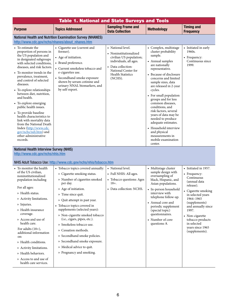|                                                                                                                                                                                                                                                                                                                                                                                                                                                                                                                                                                                              | <b>Table 1. National and State Surveys and Tools</b>                                                                                                                                                                                                                                                                                                                                                                                                                                                                                                                            |                                                                                                                                                                                      |                                                                                                                                                                                                                                                                                                                                                                                                                                                                                                                  |                                                                                                                                                                                                                                                                                      |
|----------------------------------------------------------------------------------------------------------------------------------------------------------------------------------------------------------------------------------------------------------------------------------------------------------------------------------------------------------------------------------------------------------------------------------------------------------------------------------------------------------------------------------------------------------------------------------------------|---------------------------------------------------------------------------------------------------------------------------------------------------------------------------------------------------------------------------------------------------------------------------------------------------------------------------------------------------------------------------------------------------------------------------------------------------------------------------------------------------------------------------------------------------------------------------------|--------------------------------------------------------------------------------------------------------------------------------------------------------------------------------------|------------------------------------------------------------------------------------------------------------------------------------------------------------------------------------------------------------------------------------------------------------------------------------------------------------------------------------------------------------------------------------------------------------------------------------------------------------------------------------------------------------------|--------------------------------------------------------------------------------------------------------------------------------------------------------------------------------------------------------------------------------------------------------------------------------------|
| <b>Purpose</b>                                                                                                                                                                                                                                                                                                                                                                                                                                                                                                                                                                               | <b>Topics Addressed</b>                                                                                                                                                                                                                                                                                                                                                                                                                                                                                                                                                         | <b>Sampling Frame and</b><br><b>Data Collection</b>                                                                                                                                  | <b>Methodology</b>                                                                                                                                                                                                                                                                                                                                                                                                                                                                                               | <b>Timing and</b><br><b>Frequency</b>                                                                                                                                                                                                                                                |
| http://www.cdc.gov/nchs/nhanes/about nhanes.htm                                                                                                                                                                                                                                                                                                                                                                                                                                                                                                                                              | <b>National Health and Nutrition Examination Survey (NHANES)</b>                                                                                                                                                                                                                                                                                                                                                                                                                                                                                                                |                                                                                                                                                                                      |                                                                                                                                                                                                                                                                                                                                                                                                                                                                                                                  |                                                                                                                                                                                                                                                                                      |
| • To estimate the<br>proportion of persons in<br>the US population and<br>in designated subgroups<br>with selected conditions,<br>diseases, and risk factors.<br>• To monitor trends in the<br>prevalence, treatment,<br>and control of selected<br>diseases.<br>• To explore relationships<br>between diet, nutrition,<br>and health.<br>• To explore emerging<br>public health issues.<br>• To provide baseline<br>health characteristics to<br>link with mortality data<br>from the National Death<br>Index (http://www.cdc.<br>gov/nchs/ndi.htm) and<br>other administrative<br>records. | • Cigarette use (current and<br>former).<br>• Age of initiation.<br>• Brand preference.<br>• Current smokeless tobacco and<br>e-cigarettes use.<br>• Secondhand smoke exposure<br>shown by serum cotinine and<br>urinary NNAL biomarkers, and<br>by self-report.                                                                                                                                                                                                                                                                                                                | • National level.<br>• Noninstitutionalized<br>civilian US population;<br>individuals, all ages.<br>• Data collection:<br>National Center for<br><b>Health Statistics</b><br>(NCHS). | • Complex, multistage<br>cluster probability<br>sample.<br>• Annual samples<br>are nationally<br>representative.<br>• Because of disclosure<br>concerns and limited<br>sample sizes, data<br>are released in 2-year<br>cycles.<br>• For small population<br>groups and for less<br>common diseases,<br>conditions, and<br>risk factors, several<br>years of data may be<br>needed to produce<br>adequate estimates.<br>• Household interview<br>and physical<br>measurements in<br>mobile examination<br>center. | • Initiated in early<br>1960s.<br>• Frequency:<br>Continuous since<br>1999.                                                                                                                                                                                                          |
| <b>National Health Interview Survey (NHIS)</b><br>http://www.cdc.gov/nchs/nhis.htm                                                                                                                                                                                                                                                                                                                                                                                                                                                                                                           |                                                                                                                                                                                                                                                                                                                                                                                                                                                                                                                                                                                 |                                                                                                                                                                                      |                                                                                                                                                                                                                                                                                                                                                                                                                                                                                                                  |                                                                                                                                                                                                                                                                                      |
| • To monitor the health<br>of the US civilian,<br>noninstitutionalized<br>population including<br>For all ages:<br>» Health status.<br>» Activity limitations.<br>» Injuries.<br>» Health insurance<br>coverage.<br>» Access and use of<br>health care.<br>For adults $(18+)$ ,<br>additional information<br>on:<br>» Health conditions.<br>» Activity limitations.<br>» Health behaviors.<br>» Access to and use of<br>health care services.                                                                                                                                                | NHIS Adult Tobacco Use: http://www.cdc.gov/nchs/nhis/tobacco.htm<br>• Tobacco topics covered annually:<br>» Cigarette smoking status.<br>» Number of cigarettes smoked<br>per day.<br>» Age of initiation.<br>» Time since quit.<br>» Quit attempt in past year.<br>• Tobacco topics covered in<br>supplements (selected years):<br>» Non-cigarette smoked tobacco<br>(i.e., cigars, pipes, etc.).<br>» Smokeless tobacco use.<br>» Cessation methods.<br>» Secondhand smoke policies.<br>» Secondhand smoke exposure.<br>» Medical advice to quit.<br>» Pregnancy and smoking. | • National level.<br>• Full NHIS: All ages.<br>• Tobacco questions: Ages<br>$18+$ .<br>• Data collection: NCHS.                                                                      | • Multistage cluster<br>sample design with<br>oversampling of<br>black, Hispanic, and<br>Asian populations.<br>In-person household<br>interview with<br>telephone follow-up.<br>• Annual core and<br>periodic supplement<br>(special topic)<br>questionnaires.<br>• Number of core<br>questions: 8.                                                                                                                                                                                                              | • Initiated in 1957.<br>• Frequency:<br>Continuous<br>(annual data<br>release).<br>• Cigarette smoking<br>in selected years<br>1964-1965<br>(supplements)<br>and annually since<br>1997.<br>• Non-cigarette<br>tobacco products<br>in selected<br>years since 1965<br>(supplements). |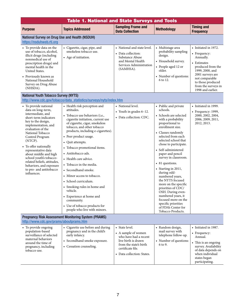|                                                                                                                                                                                                                                                                                                                                                                                                                       | <b>Table 1. National and State Surveys and Tools</b>                                                                                                                                                                                                                                                                                                                                                                                                                                                                                                                                                              |                                                                                                                                                  |                                                                                                                                                                                                                                                                                                                                                                                                                                                                                                                                                                            |                                                                                                                                                                                                                 |  |  |
|-----------------------------------------------------------------------------------------------------------------------------------------------------------------------------------------------------------------------------------------------------------------------------------------------------------------------------------------------------------------------------------------------------------------------|-------------------------------------------------------------------------------------------------------------------------------------------------------------------------------------------------------------------------------------------------------------------------------------------------------------------------------------------------------------------------------------------------------------------------------------------------------------------------------------------------------------------------------------------------------------------------------------------------------------------|--------------------------------------------------------------------------------------------------------------------------------------------------|----------------------------------------------------------------------------------------------------------------------------------------------------------------------------------------------------------------------------------------------------------------------------------------------------------------------------------------------------------------------------------------------------------------------------------------------------------------------------------------------------------------------------------------------------------------------------|-----------------------------------------------------------------------------------------------------------------------------------------------------------------------------------------------------------------|--|--|
| <b>Purpose</b>                                                                                                                                                                                                                                                                                                                                                                                                        | <b>Topics Addressed</b>                                                                                                                                                                                                                                                                                                                                                                                                                                                                                                                                                                                           | <b>Sampling Frame and</b><br><b>Data Collection</b>                                                                                              | <b>Methodology</b>                                                                                                                                                                                                                                                                                                                                                                                                                                                                                                                                                         | <b>Timing and</b><br><b>Frequency</b>                                                                                                                                                                           |  |  |
| National Survey on Drug Use and Health (NSDUH)<br>https://nsduhweb.rti.org                                                                                                                                                                                                                                                                                                                                            |                                                                                                                                                                                                                                                                                                                                                                                                                                                                                                                                                                                                                   |                                                                                                                                                  |                                                                                                                                                                                                                                                                                                                                                                                                                                                                                                                                                                            |                                                                                                                                                                                                                 |  |  |
| • To provide data on the<br>use of tobacco, alcohol,<br>illicit drugs (including<br>nonmedical use of<br>prescription drugs) and<br>mental health in the<br>United States.<br>• Previously known as<br>National Household<br>Survey on Drug Abuse<br>(NHSDA).                                                                                                                                                         | • Cigarette, cigar, pipe, and<br>smokeless tobacco use.<br>• Age of initiation.                                                                                                                                                                                                                                                                                                                                                                                                                                                                                                                                   | • National and state level.<br>• Data collection:<br>Substance Abuse<br>and Mental Health<br>Services Administration<br>(SAMHSA).                | • Multistage area<br>probability sampling<br>design.<br>• Household survey.<br>• People aged 12 or<br>older.<br>• Number of questions:<br>6 to 12.                                                                                                                                                                                                                                                                                                                                                                                                                         | • Initiated in 1972.<br>• Frequency:<br>Annually.<br>• Estimates<br>produced from the<br>1999, 2000, and<br>2001 surveys are<br>not comparable<br>to those produced<br>from the surveys in<br>1998 and earlier. |  |  |
| <b>National Youth Tobacco Survey (NYTS)</b>                                                                                                                                                                                                                                                                                                                                                                           | http://www.cdc.gov/tobacco/data_statistics/surveys/nyts/index.htm                                                                                                                                                                                                                                                                                                                                                                                                                                                                                                                                                 |                                                                                                                                                  |                                                                                                                                                                                                                                                                                                                                                                                                                                                                                                                                                                            |                                                                                                                                                                                                                 |  |  |
| • To provide national<br>data on long-term,<br>intermediate, and<br>short-term indicators<br>key to the design,<br>implementation, and<br>evaluation of the<br>National Tobacco<br>Control Program<br>(NTCP).<br>• To offer nationally<br>representative data<br>about middle and high<br>school youth's tobacco-<br>related beliefs, attitudes,<br>behaviors, and exposure<br>to pro- and antitobacco<br>influences. | • Health risk perception and<br>attitudes.<br>• Tobacco use behaviors (i.e.,<br>cigarette initiation, current use<br>of cigarette, cigar, smokeless<br>tobacco, and other tobacco<br>products, including e-cigarettes).<br>• Peer product usage.<br>• Quit attempts.<br>• Tobacco promotional items.<br>• Antitobacco ads.<br>• Health care advice.<br>• Tobacco in the media.<br>• Secondhand smoke.<br>• Minor access to tobacco.<br>• School curriculum.<br>• Smoking rules in home and<br>vehicle.<br>• Experience at home and<br>community.<br>• Use of tobacco products for<br>people who live with minors. | • National level.<br>• Youth in grades $6-12$ .<br>• Data collection: CDC.                                                                       | • Public and private<br>schools.<br>• Schools are selected<br>with a probability<br>proportional to<br>enrollment size.<br>• Classes randomly<br>selected from each<br>selected school that<br>chose to participate.<br>• Self-administered<br>paper and pencil<br>survey in classroom.<br>• 81 questions.<br>• Starting in 2011,<br>during odd-<br>numbered years,<br>the NYTS focused<br>more on the specific<br>priorities of CDC/<br>OSH. During even-<br>numbered years, it<br>focused more on the<br>specific priorities<br>of FDA's Center for<br>Tobacco Products. | • Initiated in 1999.<br>$\bullet$ Frequency: 1999,<br>2000, 2002, 2004,<br>2006, 2009, 2011,<br>2012, 2013.                                                                                                     |  |  |
| http://www.cdc.gov/prams/aboutprams.htm<br>• To provide ongoing<br>population-based                                                                                                                                                                                                                                                                                                                                   | <b>Pregnancy Risk Assessment Monitoring System (PRAMS)</b><br>• Cigarette use before and during<br>pregnancy and in the child's                                                                                                                                                                                                                                                                                                                                                                                                                                                                                   | • State level.                                                                                                                                   | • Random design,<br>mail survey with                                                                                                                                                                                                                                                                                                                                                                                                                                                                                                                                       | • Initiated in 1987.                                                                                                                                                                                            |  |  |
| surveillance of selected<br>maternal behaviors<br>around the time of<br>pregnancy, including<br>tobacco use.                                                                                                                                                                                                                                                                                                          | early infancy.<br>• Secondhand smoke exposure.<br>• Cessation counseling.                                                                                                                                                                                                                                                                                                                                                                                                                                                                                                                                         | • A sample of women<br>who have had a recent<br>live birth is drawn<br>from the state's birth<br>certificate file.<br>• Data collection: States. | telephone follow-up.<br>• Number of questions:<br>6 to 9.                                                                                                                                                                                                                                                                                                                                                                                                                                                                                                                  | • Frequency:<br>Annual.<br>• This is an ongoing<br>survey. Availability<br>of data depends on<br>when individual<br>states began<br>participating.                                                              |  |  |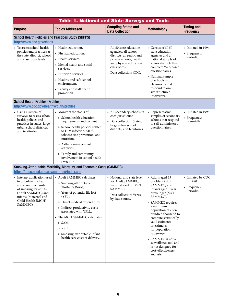| <b>Table 1. National and State Surveys and Tools</b>                                                                                                                                                                                  |                                                                                                                                                                                                                                                                                                                                         |                                                                                                                                                                              |                                                                                                                                                                                                                                                                                                                                                                                              |                                                             |  |  |
|---------------------------------------------------------------------------------------------------------------------------------------------------------------------------------------------------------------------------------------|-----------------------------------------------------------------------------------------------------------------------------------------------------------------------------------------------------------------------------------------------------------------------------------------------------------------------------------------|------------------------------------------------------------------------------------------------------------------------------------------------------------------------------|----------------------------------------------------------------------------------------------------------------------------------------------------------------------------------------------------------------------------------------------------------------------------------------------------------------------------------------------------------------------------------------------|-------------------------------------------------------------|--|--|
| <b>Purpose</b>                                                                                                                                                                                                                        | <b>Topics Addressed</b>                                                                                                                                                                                                                                                                                                                 | <b>Sampling Frame and</b><br><b>Data Collection</b>                                                                                                                          | <b>Methodology</b>                                                                                                                                                                                                                                                                                                                                                                           | <b>Timing and</b><br><b>Frequency</b>                       |  |  |
| <b>School Health Policies and Practices Study (SHPPS)</b><br>http://www.cdc.gov/shpps                                                                                                                                                 |                                                                                                                                                                                                                                                                                                                                         |                                                                                                                                                                              |                                                                                                                                                                                                                                                                                                                                                                                              |                                                             |  |  |
| • To assess school health<br>policies and practices at<br>the state, district, school,<br>and classroom levels.                                                                                                                       | • Health education.<br>• Physical education.<br>• Health services.<br>• Mental health and social<br>services.<br>• Nutrition services.<br>• Healthy and safe school<br>environment.<br>• Faculty and staff health<br>promotion.                                                                                                         | • All 50 state education<br>agencies, all school<br>districts, all public and<br>private schools, health<br>and physical education<br>classrooms.<br>• Data collection: CDC. | • Census of all 50<br>state education<br>agencies and a<br>national sample of<br>school districts that<br>complete Web-based<br>questionnaires.<br>• National sample<br>of schools and<br>classrooms that<br>respond to on-<br>site structured<br>interviews.                                                                                                                                | • Initiated in 1994.<br>• Frequency:<br>Periodic.           |  |  |
| <b>School Health Profiles (Profiles)</b><br>http://www.cdc.gov/healthyyouth/profiles                                                                                                                                                  |                                                                                                                                                                                                                                                                                                                                         |                                                                                                                                                                              |                                                                                                                                                                                                                                                                                                                                                                                              |                                                             |  |  |
| • Using a system of<br>surveys, to assess school<br>health policies and<br>practices in states, large<br>urban school districts,<br>and territories.                                                                                  | • Monitors the status of<br>» School health education<br>requirements and content.<br>» School health policies related<br>to HIV infection/AIDS,<br>tobacco-use prevention, and<br>nutrition.<br>» Asthma management<br>activities.<br>» Family and community<br>involvement in school health                                           | • All secondary schools in<br>each jurisdiction.<br>• Data collection: States,<br>large urban school<br>districts, and territories.                                          | • Representative<br>samples of secondary<br>schools that respond<br>to self-administered<br>questionnaires.                                                                                                                                                                                                                                                                                  | • Initiated in 1996.<br>• Frequency:<br>Biennially.         |  |  |
|                                                                                                                                                                                                                                       | programs.<br>Smoking-Attributable Morbidity, Mortality, and Economic Costs (SAMMEC)                                                                                                                                                                                                                                                     |                                                                                                                                                                              |                                                                                                                                                                                                                                                                                                                                                                                              |                                                             |  |  |
| https://apps.nccd.cdc.gov/sammec/index.asp<br>• Internet application used<br>to calculate the health<br>and economic burden<br>of smoking for adults<br>(Adult SAMMEC) and<br>infants (Maternal and<br>Child Health [MCH]<br>SAMMEC). | • Adult SAMMEC calculates<br>» Smoking-attributable<br>mortality (SAM).<br>» Years of potential life lost<br>(YPLL).<br>» Direct medical expenditures.<br>» Indirect productivity costs<br>associated with YPLL.<br>• The MCH SAMMEC calculates<br>» SAM.<br>» YPLL.<br>» Smoking-attributable infant<br>health care costs at delivery. | • National and state level<br>for Adult SAMMEC,<br>national level for MCH<br>SAMMEC.<br>• Data collection: Varies<br>by data source.                                         | • Adults aged 35<br>or older (Adult<br>SAMMEC) and<br>infants aged 1 year<br>or younger (MCH<br>SAMMEC).<br>• SAMMEC requires<br>a minimum<br>population of a few<br>hundred thousand to<br>compute statistically<br>valid estimates<br>or estimates<br>for population<br>subgroups.<br>• SAMMEC is not a<br>surveillance tool and<br>is not designed for<br>cost-effectiveness<br>analysis. | • Initiated by CDC<br>in 1990.<br>• Frequency:<br>Periodic. |  |  |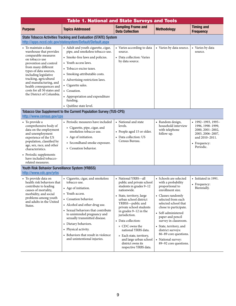| <b>Table 1. National and State Surveys and Tools</b>                                                                                                                                                                                                                                                                                    |                                                                                                                                                                                                                                                                                                                                                                                    |                                                                                                                                                                                                                                                                                                                                                                                                                |                                                                                                                                                                                                                                                                                                                                                                             |                                                                                                                                     |  |  |  |
|-----------------------------------------------------------------------------------------------------------------------------------------------------------------------------------------------------------------------------------------------------------------------------------------------------------------------------------------|------------------------------------------------------------------------------------------------------------------------------------------------------------------------------------------------------------------------------------------------------------------------------------------------------------------------------------------------------------------------------------|----------------------------------------------------------------------------------------------------------------------------------------------------------------------------------------------------------------------------------------------------------------------------------------------------------------------------------------------------------------------------------------------------------------|-----------------------------------------------------------------------------------------------------------------------------------------------------------------------------------------------------------------------------------------------------------------------------------------------------------------------------------------------------------------------------|-------------------------------------------------------------------------------------------------------------------------------------|--|--|--|
| <b>Purpose</b>                                                                                                                                                                                                                                                                                                                          | <b>Topics Addressed</b>                                                                                                                                                                                                                                                                                                                                                            | <b>Sampling Frame and</b><br><b>Data Collection</b>                                                                                                                                                                                                                                                                                                                                                            | <b>Methodology</b>                                                                                                                                                                                                                                                                                                                                                          | <b>Timing and</b><br><b>Frequency</b>                                                                                               |  |  |  |
|                                                                                                                                                                                                                                                                                                                                         | <b>State Tobacco Activities Tracking and Evaluation (STATE) System</b><br>http://apps.nccd.cdc.gov/statesystem/Default/Default.aspx                                                                                                                                                                                                                                                |                                                                                                                                                                                                                                                                                                                                                                                                                |                                                                                                                                                                                                                                                                                                                                                                             |                                                                                                                                     |  |  |  |
| • To maintain a data<br>warehouse that provides<br>comparable measures<br>on tobacco use<br>prevention and control<br>from many different<br>types of data sources,<br>including legislative<br>tracking, agricultural<br>and manufacturing, and<br>health consequences and<br>costs for all 50 states and<br>the District of Columbia. | • Adult and youth cigarette, cigar,<br>pipe, and smokeless tobacco use.<br>• Smoke-free laws and policies.<br>• Youth access laws.<br>• Tobacco excise taxes.<br>• Smoking-attributable costs.<br>• Advertising restriction laws.<br>• Cigarette sales.<br>• Cessation.<br>• Appropriation and expenditure<br>funding.<br>• Quitline state level.                                  | • Varies according to data<br>source.<br>• Data collection: Varies<br>by data source.                                                                                                                                                                                                                                                                                                                          | • Varies by data source.                                                                                                                                                                                                                                                                                                                                                    | • Varies by data<br>source.                                                                                                         |  |  |  |
| http://www.census.gov/cps                                                                                                                                                                                                                                                                                                               | Tobacco Use Supplement to the Current Population Survey (TUS-CPS)                                                                                                                                                                                                                                                                                                                  |                                                                                                                                                                                                                                                                                                                                                                                                                |                                                                                                                                                                                                                                                                                                                                                                             |                                                                                                                                     |  |  |  |
| • To provide a<br>comprehensive body of<br>data on the employment<br>and unemployment<br>experience of the US<br>population, classified by<br>age, sex, race, and other<br>characteristics.<br>• Periodic supplements<br>have included tobacco-<br>related measures.                                                                    | • Periodic measures have included<br>» Cigarette, pipe, cigar, and<br>smokeless tobacco use.<br>» Age of initiation.<br>» Secondhand smoke exposure.<br>» Cessation behavior.                                                                                                                                                                                                      | • National and state<br>levels.<br>• People aged 15 or older.<br>• Data collection: US<br>Census Bureau.                                                                                                                                                                                                                                                                                                       | • Random design,<br>household interview<br>with telephone<br>follow-up.                                                                                                                                                                                                                                                                                                     | $\cdot$ 1992-1993, 1995-<br>1996, 1998-1999,<br>2000, 2001-2002,<br>2003, 2006-2007,<br>and 2010-2011.<br>• Frequency:<br>Periodic. |  |  |  |
| Youth Risk Behavior Surveillance System (YRBSS)                                                                                                                                                                                                                                                                                         |                                                                                                                                                                                                                                                                                                                                                                                    |                                                                                                                                                                                                                                                                                                                                                                                                                |                                                                                                                                                                                                                                                                                                                                                                             |                                                                                                                                     |  |  |  |
| http://www.cdc.gov/yrbs<br>• To provide data on<br>health risk behaviors that<br>contribute to leading<br>causes of mortality,<br>morbidity, and social<br>problems among youth<br>and adults in the United<br>States.                                                                                                                  | • Cigarette, cigar, and smokeless<br>tobacco use.<br>• Age of initiation.<br>• Youth access.<br>• Cessation behavior.<br>• Alcohol and other drug use.<br>• Sexual behaviors that contribute<br>to unintended pregnancy and<br>sexually transmitted disease.<br>• Dietary behaviors.<br>• Physical activity.<br>• Behaviors that result in violence<br>and unintentional injuries. | • National YRBS-all<br>public and private school<br>students in grades 9-12<br>nationwide.<br>• State, territory, large<br>urban school district<br>YRBSS-public and<br>private school students<br>in grades $9-12$ in the<br>jurisdiction.<br>• Data collection:<br>» CDC owns the<br>national YRBS data.<br>» Each state, territory,<br>and large urban school<br>district owns its<br>respective YRBS data. | • Schools are selected<br>with a probability<br>proportional to<br>enrollment size.<br>• Classes randomly<br>selected from each<br>selected school that<br>chose to participate.<br>• Self-administered<br>paper and pencil<br>survey in classroom.<br>• State, territory, and<br>district surveys:<br>86-89 core questions.<br>• National survey:<br>89-92 core questions. | • Initiated in 1991.<br>• Frequency:<br>Biennially.                                                                                 |  |  |  |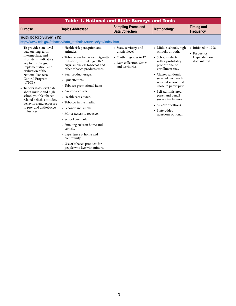| <b>Table 1. National and State Surveys and Tools</b>                                                                                                                                                                                                                                                                                                                                                    |                                                                                                                                                                                                                                                                                                                                                                                                                                                                                                                                              |                                                                                                                           |                                                                                                                                                                                                                                                                                                                                                                |                                                                         |
|---------------------------------------------------------------------------------------------------------------------------------------------------------------------------------------------------------------------------------------------------------------------------------------------------------------------------------------------------------------------------------------------------------|----------------------------------------------------------------------------------------------------------------------------------------------------------------------------------------------------------------------------------------------------------------------------------------------------------------------------------------------------------------------------------------------------------------------------------------------------------------------------------------------------------------------------------------------|---------------------------------------------------------------------------------------------------------------------------|----------------------------------------------------------------------------------------------------------------------------------------------------------------------------------------------------------------------------------------------------------------------------------------------------------------------------------------------------------------|-------------------------------------------------------------------------|
| <b>Purpose</b>                                                                                                                                                                                                                                                                                                                                                                                          | <b>Topics Addressed</b>                                                                                                                                                                                                                                                                                                                                                                                                                                                                                                                      | <b>Sampling Frame and</b><br><b>Data Collection</b>                                                                       | <b>Methodology</b>                                                                                                                                                                                                                                                                                                                                             | <b>Timing and</b><br><b>Frequency</b>                                   |
| <b>Youth Tobacco Survey (YTS)</b>                                                                                                                                                                                                                                                                                                                                                                       | http://www.cdc.gov/tobacco/data statistics/surveys/yts/index.htm                                                                                                                                                                                                                                                                                                                                                                                                                                                                             |                                                                                                                           |                                                                                                                                                                                                                                                                                                                                                                |                                                                         |
| • To provide state-level<br>data on long-term,<br>intermediate, and<br>short-term indicators<br>key to the design,<br>implementation, and<br>evaluation of the<br>National Tobacco<br>Control Program<br>(NTCP).<br>• To offer state-level data<br>about middle and high<br>school youth's tobacco-<br>related beliefs, attitudes,<br>behaviors, and exposure<br>to pro- and antitobacco<br>influences. | • Health risk perception and<br>attitudes.<br>• Tobacco use behaviors (cigarette<br>initiation, current cigarette/<br>cigar/smokeless tobacco/ and<br>other tobacco products use).<br>• Peer product usage.<br>• Quit attempts.<br>• Tobacco promotional items.<br>• Antitobacco ads.<br>• Health care advice.<br>• Tobacco in the media.<br>• Secondhand smoke.<br>• Minor access to tobacco.<br>• School curriculum.<br>• Smoking rules in home and<br>vehicle.<br>• Experience at home and<br>community.<br>• Use of tobacco products for | • State, territory, and<br>district level.<br>• Youth in grades $6-12$ .<br>• Data collection: States<br>and territories. | • Middle schools, high<br>schools, or both.<br>• Schools selected<br>with a probability<br>proportional to<br>enrollment size.<br>• Classes randomly<br>selected from each<br>selected school that<br>chose to participate.<br>• Self-administered<br>paper and pencil<br>survey in classroom.<br>• 52 core questions.<br>• State-added<br>questions optional. | • Initiated in 1998.<br>• Frequency:<br>Dependent on<br>state interest. |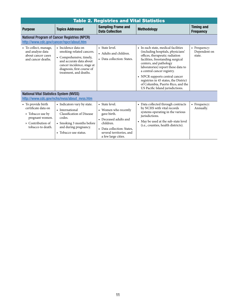<span id="page-14-0"></span>

|                                                                                                                            | <b>Table 2. Registries and Vital Statistics</b>                                                                                                                                              |                                                                                                                                                                              |                                                                                                                                                                                                                                                                                                                                                                                                   |                                        |  |
|----------------------------------------------------------------------------------------------------------------------------|----------------------------------------------------------------------------------------------------------------------------------------------------------------------------------------------|------------------------------------------------------------------------------------------------------------------------------------------------------------------------------|---------------------------------------------------------------------------------------------------------------------------------------------------------------------------------------------------------------------------------------------------------------------------------------------------------------------------------------------------------------------------------------------------|----------------------------------------|--|
| <b>Purpose</b>                                                                                                             | <b>Topics Addressed</b>                                                                                                                                                                      | <b>Sampling Frame and</b><br><b>Data Collection</b>                                                                                                                          | <b>Methodology</b>                                                                                                                                                                                                                                                                                                                                                                                | <b>Timing and</b><br><b>Frequency</b>  |  |
| http://www.cdc.gov/cancer/npcr/about.htm                                                                                   | <b>National Program of Cancer Registries (NPCR)</b>                                                                                                                                          |                                                                                                                                                                              |                                                                                                                                                                                                                                                                                                                                                                                                   |                                        |  |
| • To collect, manage,<br>and analyze data<br>about cancer cases<br>and cancer deaths.                                      | • Incidence data on<br>smoking-related cancers.<br>• Comprehensive, timely,<br>and accurate data about<br>cancer incidence, stage at<br>diagnosis, first course of<br>treatment, and deaths. | • State level.<br>• Adults and children.<br>• Data collection: States.                                                                                                       | • In each state, medical facilities<br>(including hospitals, physicians'<br>offices, therapeutic radiation<br>facilities, freestanding surgical<br>centers, and pathology<br>laboratories) report these data to<br>a central cancer registry.<br>• NPCR supports central cancer<br>registries in 45 states, the District<br>of Columbia, Puerto Rico, and the<br>US Pacific Island jurisdictions. | • Frequency:<br>Dependent on<br>state. |  |
| <b>National Vital Statistics System (NVSS)</b>                                                                             | http://www.cdc.gov/nchs/nvss/about_nvss.htm                                                                                                                                                  |                                                                                                                                                                              |                                                                                                                                                                                                                                                                                                                                                                                                   |                                        |  |
| • To provide birth<br>certificate data on<br>» Tobacco use by<br>pregnant women.<br>» Contribution of<br>tobacco to death. | • Indicators vary by state.<br>• International<br><b>Classification of Disease</b><br>codes.<br>• Smoking 3 months before<br>and during pregnancy.<br>• Tobacco use status.                  | • State level.<br>• Women who recently<br>gave birth.<br>• Deceased adults and<br>children.<br>• Data collection: States,<br>several territories, and<br>a few large cities. | • Data collected through contracts<br>by NCHS with vital records<br>systems operating in the various<br>jurisdictions.<br>• May be used at the sub-state level<br>(i.e., counties, health districts).                                                                                                                                                                                             | • Frequency:<br>Annually.              |  |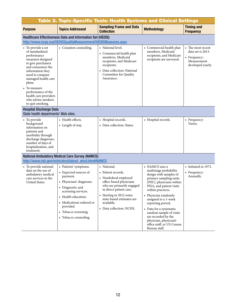<span id="page-15-0"></span>

|                                                                                                                                                                                                                                                                                                       | <b>Table 3. Topic-Specific Tools: Health Systems and Clinical Settings</b>                                                                                                                                                                         |                                                                                                                                                                                                                                                 |                                                                                                                                                                                                                                                                                                                                                                                                      |                                                                                            |
|-------------------------------------------------------------------------------------------------------------------------------------------------------------------------------------------------------------------------------------------------------------------------------------------------------|----------------------------------------------------------------------------------------------------------------------------------------------------------------------------------------------------------------------------------------------------|-------------------------------------------------------------------------------------------------------------------------------------------------------------------------------------------------------------------------------------------------|------------------------------------------------------------------------------------------------------------------------------------------------------------------------------------------------------------------------------------------------------------------------------------------------------------------------------------------------------------------------------------------------------|--------------------------------------------------------------------------------------------|
| <b>Purpose</b>                                                                                                                                                                                                                                                                                        | <b>Topics Addressed</b>                                                                                                                                                                                                                            | <b>Sampling Frame and Data</b><br><b>Collection</b>                                                                                                                                                                                             | <b>Methodology</b>                                                                                                                                                                                                                                                                                                                                                                                   | <b>Timing and</b><br><b>Frequency</b>                                                      |
|                                                                                                                                                                                                                                                                                                       | Healthcare Effectiveness Data and Information Set (HEDIS)                                                                                                                                                                                          |                                                                                                                                                                                                                                                 |                                                                                                                                                                                                                                                                                                                                                                                                      |                                                                                            |
|                                                                                                                                                                                                                                                                                                       | http://www.ncqa.org/HEDISQualityMeasurement/HEDISMeasures.aspx                                                                                                                                                                                     |                                                                                                                                                                                                                                                 |                                                                                                                                                                                                                                                                                                                                                                                                      |                                                                                            |
| • To provide a set<br>of standardized<br>performance<br>measures designed<br>to give purchasers<br>and consumers the<br>information they<br>need to compare<br>managed health care<br>plans.<br>• To measure<br>performance of the<br>health care providers<br>who advise smokers<br>to quit smoking. | • Cessation counseling.                                                                                                                                                                                                                            | • National level.<br>• Commercial health plan<br>members, Medicaid<br>recipients, and Medicare<br>recipients.<br>• Data collection: National<br>Committee for Quality<br>Assurance.                                                             | • Commercial health plan<br>members, Medicaid<br>recipients, and Medicare<br>recipients are surveyed.                                                                                                                                                                                                                                                                                                | • The most recent<br>data set is 2013.<br>• Frequency:<br>Measurement<br>developed yearly. |
| <b>Hospital Discharge Data</b><br>State health departments' Web sites.                                                                                                                                                                                                                                |                                                                                                                                                                                                                                                    |                                                                                                                                                                                                                                                 |                                                                                                                                                                                                                                                                                                                                                                                                      |                                                                                            |
| • To provide<br>background<br>information on<br>patients and<br>morbidity through<br>discharge diagnoses,<br>number of days of<br>hospitalization, and<br>treatment.                                                                                                                                  | • Health effects.<br>• Length of stay.                                                                                                                                                                                                             | • Hospital records.<br>• Data collection: States.                                                                                                                                                                                               | • Hospital records.                                                                                                                                                                                                                                                                                                                                                                                  | • Frequency:<br>Varies.                                                                    |
|                                                                                                                                                                                                                                                                                                       | <b>National Ambulatory Medical Care Survey (NAMCS)</b>                                                                                                                                                                                             |                                                                                                                                                                                                                                                 |                                                                                                                                                                                                                                                                                                                                                                                                      |                                                                                            |
|                                                                                                                                                                                                                                                                                                       | http://www.cdc.gov/nchs/ahcd/about ahcd.htm#NAMCS                                                                                                                                                                                                  |                                                                                                                                                                                                                                                 |                                                                                                                                                                                                                                                                                                                                                                                                      |                                                                                            |
| • To provide national<br>data on the use of<br>ambulatory medical<br>care services in the<br>United States.                                                                                                                                                                                           | • Patients' symptoms.<br>• Expected sources of<br>payment.<br>• Physicians' diagnoses.<br>• Diagnostic and<br>screening services.<br>• Health education.<br>• Medications ordered or<br>provided.<br>• Tobacco screening.<br>• Tobacco counseling. | • National.<br>• Patient records.<br>• Nonfederal employed<br>office-based physicians<br>who are primarily engaged<br>in direct patient care.<br>• Starting in 2012 some<br>state-based estimates are<br>available.<br>• Data collection: NCHS. | • NAMCS uses a<br>multistage probability<br>design with samples of<br>primary sampling units<br>(PSU), physicians within<br>PSUs, and patient visits<br>within practices.<br>• Physician randomly<br>assigned to a 1-week<br>reporting period.<br>• Data for a systematic<br>random sample of visits<br>are recorded by the<br>physician, physician's<br>office staff, or US Census<br>Bureau staff. | • Initiated in 1973.<br>Frequency:<br>٠<br>Annually.                                       |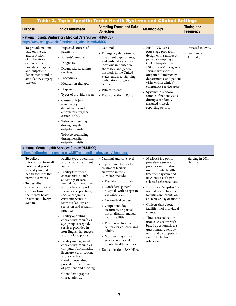| <b>Table 3. Topic-Specific Tools: Health Systems and Clinical Settings</b>                                                                                                                                                                    |                                                                                                                                                                                                                                                                                                                                                                                                                                                                                                                                                                                                                                                                                                                                                     |                                                                                                                                                                                                                                                                                                                                                                                                                                                                                                                                       |                                                                                                                                                                                                                                                                                                                                                                                                                                                                                                                                       |                                                 |
|-----------------------------------------------------------------------------------------------------------------------------------------------------------------------------------------------------------------------------------------------|-----------------------------------------------------------------------------------------------------------------------------------------------------------------------------------------------------------------------------------------------------------------------------------------------------------------------------------------------------------------------------------------------------------------------------------------------------------------------------------------------------------------------------------------------------------------------------------------------------------------------------------------------------------------------------------------------------------------------------------------------------|---------------------------------------------------------------------------------------------------------------------------------------------------------------------------------------------------------------------------------------------------------------------------------------------------------------------------------------------------------------------------------------------------------------------------------------------------------------------------------------------------------------------------------------|---------------------------------------------------------------------------------------------------------------------------------------------------------------------------------------------------------------------------------------------------------------------------------------------------------------------------------------------------------------------------------------------------------------------------------------------------------------------------------------------------------------------------------------|-------------------------------------------------|
| <b>Purpose</b>                                                                                                                                                                                                                                | <b>Topics Addressed</b>                                                                                                                                                                                                                                                                                                                                                                                                                                                                                                                                                                                                                                                                                                                             | <b>Sampling Frame and Data</b><br><b>Collection</b>                                                                                                                                                                                                                                                                                                                                                                                                                                                                                   | <b>Methodology</b>                                                                                                                                                                                                                                                                                                                                                                                                                                                                                                                    | <b>Timing and</b><br><b>Frequency</b>           |
|                                                                                                                                                                                                                                               | <b>National Hospital Ambulatory Medical Care Survey (NHAMCS)</b><br>http://www.cdc.gov/nchs/ahcd/about ahcd.htm#NAMCS                                                                                                                                                                                                                                                                                                                                                                                                                                                                                                                                                                                                                               |                                                                                                                                                                                                                                                                                                                                                                                                                                                                                                                                       |                                                                                                                                                                                                                                                                                                                                                                                                                                                                                                                                       |                                                 |
| • To provide national<br>data on the use<br>and provision<br>of ambulatory<br>care services in<br>hospital emergency<br>and outpatient<br>departments and in<br>ambulatory surgery<br>centers.                                                | • Expected sources of<br>payment.<br>• Patients' complaints.<br>• Diagnoses.<br>• Diagnostic/screening<br>services.<br>• Procedures.<br>• Medication therapy.<br>• Disposition.<br>• Types of providers seen.<br>• Causes of injury<br>(emergency<br>departments and<br>ambulatory surgery<br>centers only).<br>• Tobacco screening<br>during hospital<br>outpatient visits.<br>• Tobacco counseling<br>during hospital<br>outpatient visits.                                                                                                                                                                                                                                                                                                       | • National.<br>• Emergency department,<br>outpatient departments,<br>and ambulatory surgery<br>locations in nonfederal,<br>short stay, and general<br>hospitals in the United<br>States; and free-standing<br>ambulatory surgery<br>centers.<br>• Patient records.<br>• Data collection: NCHS.                                                                                                                                                                                                                                        | • NHAMCS uses a<br>four-stage probability<br>design with samples of<br>primary sampling units<br>(PSU), hospitals within<br>PSUs, clinics/emergency<br>service areas within<br>outpatient/emergency<br>departments, and patient<br>visits within clinics/<br>emergency service areas.<br>• Systematic random<br>sample of patient visits<br>during a randomly<br>assigned 4-week<br>reporting period.                                                                                                                                 | • Initiated in 1992.<br>Frequency:<br>Annually. |
|                                                                                                                                                                                                                                               | <b>National Mental Health Services Survey (N-MHSS)</b><br>http://findtreatment.samhsa.gov/MHTreatmentLocator/faces/about.jspx                                                                                                                                                                                                                                                                                                                                                                                                                                                                                                                                                                                                                       |                                                                                                                                                                                                                                                                                                                                                                                                                                                                                                                                       |                                                                                                                                                                                                                                                                                                                                                                                                                                                                                                                                       |                                                 |
| • To collect<br>information from all<br>public and private<br>specialty mental<br>health facilities that<br>provide services.<br>• To describe<br>characteristics and<br>composition of<br>the mental health<br>treatment delivery<br>system. | • Facility type, operation,<br>and primary treatment<br>focus.<br>• Facility treatment<br>characteristics such<br>as settings of care,<br>mental health treatment<br>approaches, supportive<br>services and practices,<br>special programs,<br>crisis intervention<br>team availability, and<br>seclusion and restraint<br>practices.<br>• Facility operating<br>characteristics such as<br>age groups accepted,<br>services provided in<br>non-English languages,<br>and smoking policy.<br>• Facility management<br>characteristics such as<br>computer functionality;<br>licensure, certification,<br>and accreditation;<br>standard operating<br>procedures; and sources<br>of payment and funding.<br>• Client demographic<br>characteristics. | • National and state level.<br>• Types of mental health<br>treatment facilities<br>surveyed in the 2010<br>N-MHSS include<br>» Psychiatric hospitals.<br>» Nonfederal general<br>hospitals with a separate<br>psychiatric unit.<br>» VA medical centers.<br>» Outpatient, day<br>treatment, or partial<br>hospitalization mental<br>health facilities.<br>» Residential treatment<br>centers for children and<br>adults.<br>» Multi-setting multi-<br>service, nonhospital<br>mental health facilities.<br>• Data collection: SAMHSA. | • N-MHSS is a point-<br>prevalence survey. It<br>provides information<br>on the mental health<br>treatment system and<br>its clients as of a pre-<br>selected reference date.<br>• Provides a "snapshot" of<br>mental health treatment<br>facilities and clients on<br>an average day or month.<br>• Collects data about<br>facilities, not individual<br>clients.<br>• Three data collection<br>modes: A secure Web-<br>based questionnaire, a<br>questionnaire sent by<br>mail, and a computer-<br>assisted telephone<br>interview. | • Starting in 2014,<br>biennially.              |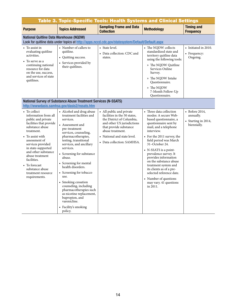| Table 3. Topic-Specific Tools: Health Systems and Clinical Settings                                                                                                                                                                                                                                                                      |                                                                                                                                                                                                                                                                                                                                                                                                                                                                                                                            |                                                                                                                                                                                                                                |                                                                                                                                                                                                                                                                                                                                                                                                                                                                        |                                                                           |
|------------------------------------------------------------------------------------------------------------------------------------------------------------------------------------------------------------------------------------------------------------------------------------------------------------------------------------------|----------------------------------------------------------------------------------------------------------------------------------------------------------------------------------------------------------------------------------------------------------------------------------------------------------------------------------------------------------------------------------------------------------------------------------------------------------------------------------------------------------------------------|--------------------------------------------------------------------------------------------------------------------------------------------------------------------------------------------------------------------------------|------------------------------------------------------------------------------------------------------------------------------------------------------------------------------------------------------------------------------------------------------------------------------------------------------------------------------------------------------------------------------------------------------------------------------------------------------------------------|---------------------------------------------------------------------------|
| <b>Purpose</b>                                                                                                                                                                                                                                                                                                                           | <b>Topics Addressed</b>                                                                                                                                                                                                                                                                                                                                                                                                                                                                                                    | <b>Sampling Frame and Data</b><br><b>Collection</b>                                                                                                                                                                            | <b>Methodology</b>                                                                                                                                                                                                                                                                                                                                                                                                                                                     | <b>Timing and</b><br><b>Frequency</b>                                     |
| <b>National Quitline Data Warehouse (NQDW)</b>                                                                                                                                                                                                                                                                                           |                                                                                                                                                                                                                                                                                                                                                                                                                                                                                                                            | Look for quitline data under topics at http://apps.nccd.cdc.gov/statesystem/Default/Default.aspx                                                                                                                               |                                                                                                                                                                                                                                                                                                                                                                                                                                                                        |                                                                           |
| • To assist in<br>evaluating quitline<br>activities.<br>$\bullet$ To serve as a<br>continuing national<br>resource for data<br>on the use, success,<br>and services of state<br>quitlines.                                                                                                                                               | • Number of callers to<br>quitline.<br>• Quitting success.<br>• Services provided by<br>their quitlines.                                                                                                                                                                                                                                                                                                                                                                                                                   | • State level.<br>• Data collection: CDC and<br>states.                                                                                                                                                                        | • The NQDW collects<br>standardized state and<br>territory quitline data<br>using the following tools:<br>» The NQDW Quitline<br>Services Online<br>Survey.<br>» The NQDW Intake<br>Ouestionnaire.<br>» The NQDW<br>7-Month Follow-Up<br>Questionnaire.                                                                                                                                                                                                                | • Initiated in 2010.<br>• Frequency:<br>Ongoing.                          |
|                                                                                                                                                                                                                                                                                                                                          | National Survey of Substance Abuse Treatment Services (N-SSATS)<br>http://wwwdasis.samhsa.gov/dasis2/nssats.htm                                                                                                                                                                                                                                                                                                                                                                                                            |                                                                                                                                                                                                                                |                                                                                                                                                                                                                                                                                                                                                                                                                                                                        |                                                                           |
| • To collect<br>information from all<br>public and private<br>facilities that provide<br>substance abuse<br>treatment.<br>To assist with<br>assessment of<br>services provided<br>in state-supported<br>and other substance<br>abuse treatment<br>facilities.<br>• To forecast<br>substance abuse<br>treatment resource<br>requirements. | • Alcohol and drug abuse<br>treatment facilities and<br>services.<br>• Assessment and<br>pre-treatment<br>services, counseling,<br>pharmacotherapies,<br>testing, transitional<br>services, and ancillary<br>services.<br>• Screening for substance<br>abuse.<br>• Screening for mental<br>health disorders.<br>• Screening for tobacco<br>use.<br>• Smoking cessation<br>counseling, including<br>pharmacotherapies such<br>as nicotine replacement,<br>bupropion, and<br>varenicline.<br>• Facility's smoking<br>policy. | • All public and private<br>facilities in the 50 states,<br>the District of Columbia,<br>and other US jurisdictions<br>that provide substance<br>abuse treatment.<br>• National and state level.<br>• Data collection: SAMHSA. | • Three data collection<br>modes: A secure Web-<br>based questionnaire, a<br>questionnaire sent by<br>mail, and a telephone<br>interview.<br>• For the 2011 survey, the<br>field period was March<br>31-October 24.<br>• N-SSATS is a point-<br>prevalence survey. It<br>provides information<br>on the substance abuse<br>treatment system and<br>its clients as of a pre-<br>selected reference date.<br>• Number of questions<br>may vary. 41 questions<br>in 2011. | $\bullet$ Before 2014.<br>annually.<br>• Starting in 2014,<br>biennially. |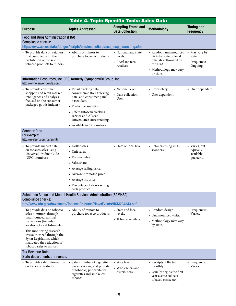<span id="page-18-0"></span>

| Table 4. Topic-Specific Tools: Sales Data                                                                                                                             |                                                                                                                                                                                                                                                  |                                                                  |                                                                                                                                 |                                                       |
|-----------------------------------------------------------------------------------------------------------------------------------------------------------------------|--------------------------------------------------------------------------------------------------------------------------------------------------------------------------------------------------------------------------------------------------|------------------------------------------------------------------|---------------------------------------------------------------------------------------------------------------------------------|-------------------------------------------------------|
| <b>Purpose</b>                                                                                                                                                        | <b>Topics Addressed</b>                                                                                                                                                                                                                          | <b>Sampling Frame and</b><br><b>Data Collection</b>              | <b>Methodology</b>                                                                                                              | <b>Timing and</b><br><b>Frequency</b>                 |
| <b>Food and Drug Administration (FDA)</b><br>Compliance checks:                                                                                                       | http://www.accessdata.fda.gov/scripts/oce/inspections/oce_insp_searching.cfm                                                                                                                                                                     |                                                                  |                                                                                                                                 |                                                       |
| • To provide data on retailers<br>that complied with the<br>prohibition of the sale of<br>tobacco products to minors.                                                 | • Ability of minors to<br>purchase tobacco products.                                                                                                                                                                                             | • National and state<br>levels.<br>• Local tobacco<br>retailers. | • Random, unannounced<br>visits by state or local<br>officials authorized by<br>the FDA.<br>• Methodology may vary<br>by state. | • May vary by<br>state.<br>• Frequency:<br>Ongoing.   |
| Information Resources, Inc. (IRI), formerly SymphonyIRI Group, Inc.<br>http://www.iriworldwide.com/                                                                   |                                                                                                                                                                                                                                                  |                                                                  |                                                                                                                                 |                                                       |
| • To provide consumer,<br>shopper, and retail market<br>intelligence and analysis<br>focused on the consumer<br>packaged goods industry.                              | • Retail tracking data,<br>convenience store tracking<br>data, and consumer panel-<br>based data.<br>• Predictive analytics.<br>• Offers Infoscan tracking<br>service and Allscan<br>convenience store tracking.<br>• Available in 58 countries. | • National level.<br>• Data collection:<br>User.                 | • Proprietary.<br>• User dependent.                                                                                             | • User dependent.                                     |
| <b>Scanner Data</b><br>For example:<br>http://nielsen.com/us/en.html                                                                                                  |                                                                                                                                                                                                                                                  |                                                                  |                                                                                                                                 |                                                       |
| • To provide market data<br>on tobacco sales using<br>Universal Product Code<br>(UPC) numbers.                                                                        | • Dollar sales.<br>• Unit sales.<br>• Volume sales.<br>• Sales share.<br>• Average selling price.<br>• Average promoted price.<br>• Average list price.<br>• Percentage of stores selling<br>each product.                                       | • State or local level.                                          | • Retailers using UPC<br>scanners.                                                                                              | • Varies, but<br>typically<br>available<br>quarterly. |
| Substance Abuse and Mental Health Services Administration (SAMHSA)<br>Compliance checks:<br>ttp://www.fda.gov/downloads/TobaccoProducts/NewsEvents/UCM284343.pdf      |                                                                                                                                                                                                                                                  |                                                                  |                                                                                                                                 |                                                       |
| • To provide data on tobacco<br>sales to minors through<br>unannounced, annual<br>inspections (includes<br>location of establishments).<br>• This monitoring research | • Ability of minors to<br>purchase tobacco products.                                                                                                                                                                                             | • State and local<br>levels.<br>• Tobacco retailers.             | • Random design.<br>Unannounced visits.<br>• Methodology may vary<br>by state.                                                  | • Frequency:<br>Varies.                               |
| was authorized through the<br>Synar Legislation, which<br>mandated the reduction of<br>tobacco sales to minors.                                                       |                                                                                                                                                                                                                                                  |                                                                  |                                                                                                                                 |                                                       |
| <b>Tax Revenue Data</b><br>State departments of revenue.                                                                                                              |                                                                                                                                                                                                                                                  |                                                                  |                                                                                                                                 |                                                       |
| • To provide sales information<br>on tobacco products.                                                                                                                | • Sales (number of cigarette<br>packs, cartons, and pounds<br>of tobacco) per capita for<br>cigarettes and smokeless<br>tobacco.                                                                                                                 | • State level.<br>• Wholesalers and<br>distributors.             | • Receipts collected<br>monthly.<br>• Usually begins the first<br>year a state collects<br>tobacco excise tax.                  | • Frequency:<br>Varies.                               |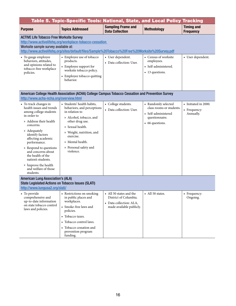<span id="page-19-0"></span>

| Table 5. Topic-Specific Tools: National, State, and Local Policy Tracking                                                                                                                                                                                                                                                                                                                                       |                                                                                                                                                                                                                                                 |                                                                                                         |                                                                                                             |                                                   |
|-----------------------------------------------------------------------------------------------------------------------------------------------------------------------------------------------------------------------------------------------------------------------------------------------------------------------------------------------------------------------------------------------------------------|-------------------------------------------------------------------------------------------------------------------------------------------------------------------------------------------------------------------------------------------------|---------------------------------------------------------------------------------------------------------|-------------------------------------------------------------------------------------------------------------|---------------------------------------------------|
| <b>Purpose</b>                                                                                                                                                                                                                                                                                                                                                                                                  | <b>Topics Addressed</b>                                                                                                                                                                                                                         | <b>Sampling Frame and</b><br><b>Data Collection</b>                                                     | <b>Methodology</b>                                                                                          | <b>Timing and</b><br><b>Frequency</b>             |
| <b>ACTIVE Life Tobacco Free Worksite Survey</b><br>Worksite sample survey available at:                                                                                                                                                                                                                                                                                                                         | http://www.activelifehq.org/workplace-tobacco-cessation<br>http://www.activelifehq.org/sites/default/files/Sample%20Tobacco%20Free%20Worksite%20Survey.pdf                                                                                      |                                                                                                         |                                                                                                             |                                                   |
| • To gauge employee<br>behaviors, attitudes,<br>and opinions related to<br>tobacco-free workplace<br>policies.                                                                                                                                                                                                                                                                                                  | • Employee use of tobacco<br>products.<br>• Employee support for<br>worksite tobacco policy.<br>• Employee tobacco quitting<br>behavior.                                                                                                        | • User dependent.<br>• Data collection: User.                                                           | • Census of worksite<br>employees.<br>• Self-administered.<br>• 13 questions.                               | • User dependent.                                 |
| http://www.acha-ncha.org/overview.html                                                                                                                                                                                                                                                                                                                                                                          | American College Health Association (ACHA) College Campus Tobacco Cessation and Prevention Survey                                                                                                                                               |                                                                                                         |                                                                                                             |                                                   |
| • To track changes in<br>health issues and trends<br>among college students<br>in order to<br>» Address their health<br>concerns.<br>» Adequately<br>identify factors<br>affecting academic<br>performance.<br>» Respond to questions<br>and concerns about<br>the health of the<br>nation's students.<br>» Improve the health<br>and welfare of those<br>students.<br><b>American Lung Association's (ALA)</b> | • Students' health habits,<br>behaviors, and perceptions<br>in relation to<br>» Alcohol, tobacco, and<br>other drug use.<br>» Sexual health.<br>» Weight, nutrition, and<br>exercise.<br>» Mental health.<br>» Personal safety and<br>violence. | • College students.<br>• Data collection: User.                                                         | • Randomly selected<br>class rooms or students.<br>• Self-administered<br>questionnaire.<br>• 66 questions. | • Initiated in 2000.<br>• Frequency:<br>Annually. |
| <b>State Legislated Actions on Tobacco Issues (SLATI)</b><br>http://www.lungusa2.org/slati/                                                                                                                                                                                                                                                                                                                     |                                                                                                                                                                                                                                                 |                                                                                                         |                                                                                                             |                                                   |
| • To provide<br>comprehensive and<br>up-to-date information<br>on state tobacco control<br>laws and policies.                                                                                                                                                                                                                                                                                                   | • Restrictions on smoking<br>in public places and<br>workplaces.<br>• Smoke-free laws and<br>policies.<br>• Tobacco taxes.<br>• Tobacco control laws.<br>• Tobacco cessation and<br>prevention program<br>funding.                              | • All 50 states and the<br>District of Columbia.<br>• Data collection: ALA,<br>made available publicly. | • All 50 states.                                                                                            | • Frequency:<br>Ongoing.                          |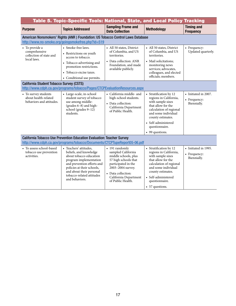|                                                                          | Table 5. Topic-Specific Tools: National, State, and Local Policy Tracking                                                                                                                                                                    |                                                                                                                                                                                                      |                                                                                                                                                                                                                                |                                                     |  |
|--------------------------------------------------------------------------|----------------------------------------------------------------------------------------------------------------------------------------------------------------------------------------------------------------------------------------------|------------------------------------------------------------------------------------------------------------------------------------------------------------------------------------------------------|--------------------------------------------------------------------------------------------------------------------------------------------------------------------------------------------------------------------------------|-----------------------------------------------------|--|
| <b>Purpose</b>                                                           | <b>Topics Addressed</b>                                                                                                                                                                                                                      | <b>Sampling Frame and</b><br><b>Data Collection</b>                                                                                                                                                  | <b>Methodology</b>                                                                                                                                                                                                             | <b>Timing and</b><br><b>Frequency</b>               |  |
|                                                                          | American Nonsmokers' Rights (ANR ) Foundation: US Tobacco Control Laws Database                                                                                                                                                              |                                                                                                                                                                                                      |                                                                                                                                                                                                                                |                                                     |  |
|                                                                          | http://www.no-smoke.org/goingsmokefree.php?id=519                                                                                                                                                                                            |                                                                                                                                                                                                      |                                                                                                                                                                                                                                |                                                     |  |
| • To provide a                                                           | • Smoke-free laws.                                                                                                                                                                                                                           | • All 50 states, District                                                                                                                                                                            | • All 50 states, District                                                                                                                                                                                                      | • Frequency:                                        |  |
| comprehensive<br>collection of state and<br>local laws.                  | • Restrictions on youth<br>access to tobacco.                                                                                                                                                                                                | of Columbia, and US<br>territories.                                                                                                                                                                  | of Columbia, and US<br>territories.                                                                                                                                                                                            | Updated quarterly.                                  |  |
|                                                                          | • Tobacco advertising and<br>promotion restrictions.                                                                                                                                                                                         | • Data collection: ANR<br>Foundation, and made<br>available publicly.                                                                                                                                | • Mail solicitations;<br>monitoring news<br>services; advocates,                                                                                                                                                               |                                                     |  |
|                                                                          | • Tobacco excise taxes.                                                                                                                                                                                                                      |                                                                                                                                                                                                      | colleagues, and elected                                                                                                                                                                                                        |                                                     |  |
|                                                                          | • Conditional use permits.                                                                                                                                                                                                                   |                                                                                                                                                                                                      | officials: members.                                                                                                                                                                                                            |                                                     |  |
|                                                                          | <b>California Student Tobacco Survey (CSTS)</b>                                                                                                                                                                                              |                                                                                                                                                                                                      |                                                                                                                                                                                                                                |                                                     |  |
|                                                                          | http://www.cdph.ca.gov/programs/tobacco/Pages/CTCPEvaluationResources.aspx                                                                                                                                                                   |                                                                                                                                                                                                      |                                                                                                                                                                                                                                |                                                     |  |
| • To survey students<br>about health-related<br>behaviors and attitudes. | • Large-scale, in-school<br>student survey of tobacco<br>use among middle-<br>(grades 6-8) and high-<br>school (grades 9-12)<br>students.<br>California Tobacco Use Prevention Education Evaluation: Teacher Survey                          | • California middle- and<br>high-school students.<br>• Data collection:<br>California Department<br>of Public Health.                                                                                | • Stratification by 12<br>regions in California,<br>with sample sizes<br>that allow for the<br>calculation of regional<br>and some individual<br>county estimates.<br>• Self-administered<br>questionnaire.<br>• 99 questions. | • Initiated in 2007.<br>• Frequency:<br>Biennially. |  |
|                                                                          | http://www.cdph.ca.gov/programs/tobacco/Documents/CTCPTupeReport05-06.pdf                                                                                                                                                                    |                                                                                                                                                                                                      |                                                                                                                                                                                                                                |                                                     |  |
| • To assess school-based<br>tobacco use prevention<br>activities.        | • Teachers' attitudes,<br>beliefs, and knowledge<br>about tobacco education<br>program implementation<br>and prevention efforts and<br>policies at their schools,<br>and about their personal<br>tobacco-related attitudes<br>and behaviors. | • 191 randomly<br>sampled California<br>middle schools, plus<br>57 high schools that<br>participated in the<br>2003-2004 survey.<br>• Data collection:<br>California Department<br>of Public Health. | • Stratification by 12<br>regions in California,<br>with sample sizes<br>that allow for the<br>calculation of regional<br>and some individual<br>county estimates.<br>• Self-administered<br>questionnaire.<br>• 57 questions. | • Initiated in 1995.<br>• Frequency:<br>Biennially. |  |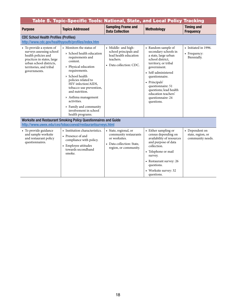|                                                                                                                                                                                 | Table 5. Topic-Specific Tools: National, State, and Local Policy Tracking                                                                                                                                                                                                                                                                                 |                                                                                                                       |                                                                                                                                                                                                                                                                                                  |                                                         |
|---------------------------------------------------------------------------------------------------------------------------------------------------------------------------------|-----------------------------------------------------------------------------------------------------------------------------------------------------------------------------------------------------------------------------------------------------------------------------------------------------------------------------------------------------------|-----------------------------------------------------------------------------------------------------------------------|--------------------------------------------------------------------------------------------------------------------------------------------------------------------------------------------------------------------------------------------------------------------------------------------------|---------------------------------------------------------|
| <b>Purpose</b>                                                                                                                                                                  | <b>Topics Addressed</b>                                                                                                                                                                                                                                                                                                                                   | <b>Sampling Frame and</b><br><b>Data Collection</b>                                                                   | <b>Methodology</b>                                                                                                                                                                                                                                                                               | <b>Timing and</b><br><b>Frequency</b>                   |
| <b>CDC School Health Profiles (Profiles)</b><br>http://www.cdc.gov/healthyyouth/profiles/index.htm                                                                              |                                                                                                                                                                                                                                                                                                                                                           |                                                                                                                       |                                                                                                                                                                                                                                                                                                  |                                                         |
| • To provide a system of<br>surveys assessing school<br>health policies and<br>practices in states, large<br>urban school districts,<br>territories, and tribal<br>governments. | • Monitors the status of<br>» School health education<br>requirements and<br>content.<br>» Physical education<br>requirements.<br>» School health<br>policies related to<br>HIV infection/AIDS,<br>tobacco-use prevention,<br>and nutrition.<br>» Asthma management<br>activities.<br>» Family and community<br>involvement in school<br>health programs. | • Middle- and high-<br>school principals and<br>lead health education<br>teachers.<br>• Data collection: CDC.         | • Random sample of<br>secondary schools in<br>a state, large urban<br>school district.<br>territory, or tribal<br>government.<br>• Self-administered<br>questionnaire.<br>• Principals'<br>questionnaire: 51<br>questions; lead health<br>education teachers'<br>questionnaire: 24<br>questions. | • Initiated in 1996.<br>• Frequency:<br>Biennially.     |
|                                                                                                                                                                                 | Worksite and Restaurant Smoking Policy Questionnaires and Guide                                                                                                                                                                                                                                                                                           |                                                                                                                       |                                                                                                                                                                                                                                                                                                  |                                                         |
|                                                                                                                                                                                 | http://www.uwex.edu/ces/tobaccoeval/restaurantsurveys.html                                                                                                                                                                                                                                                                                                |                                                                                                                       |                                                                                                                                                                                                                                                                                                  |                                                         |
| • To provide guidance<br>and sample worksite<br>and restaurant policy<br>questionnaires.                                                                                        | • Institution characteristics.<br>• Presence of and<br>compliance with policy.<br>• Employee attitudes<br>towards secondhand<br>smoke.                                                                                                                                                                                                                    | • State, regional, or<br>community restaurants<br>or worksites.<br>• Data collection: State,<br>region, or community. | • Either sampling or<br>census depending on<br>availability of resources<br>and purpose of data<br>collection.<br>• Telephone or mail<br>survey.<br>• Restaurant survey: 26<br>questions.<br>• Worksite survey: 32<br>questions.                                                                 | • Dependent on<br>state, region, or<br>community needs. |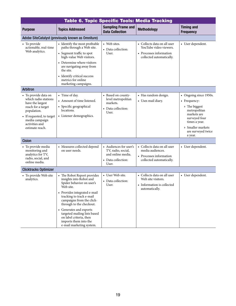<span id="page-22-0"></span>

| Table 6. Topic Specific Tools: Media Tracking                                                                                                                                             |                                                                                                                                                                                                                                                                                                                                                                  |                                                                                                  |                                                                                                              |                                                                                                                                                                                |
|-------------------------------------------------------------------------------------------------------------------------------------------------------------------------------------------|------------------------------------------------------------------------------------------------------------------------------------------------------------------------------------------------------------------------------------------------------------------------------------------------------------------------------------------------------------------|--------------------------------------------------------------------------------------------------|--------------------------------------------------------------------------------------------------------------|--------------------------------------------------------------------------------------------------------------------------------------------------------------------------------|
| <b>Purpose</b>                                                                                                                                                                            | <b>Topics Addressed</b>                                                                                                                                                                                                                                                                                                                                          | <b>Sampling Frame and</b><br><b>Data Collection</b>                                              | <b>Methodology</b>                                                                                           | <b>Timing and</b><br><b>Frequency</b>                                                                                                                                          |
|                                                                                                                                                                                           | Adobe SiteCatalyst (previously known as Omniture)                                                                                                                                                                                                                                                                                                                |                                                                                                  |                                                                                                              |                                                                                                                                                                                |
| • To provide<br>actionable, real-time<br>Web analytics.                                                                                                                                   | • Identify the most profitable<br>paths through a Web site.<br>• Segment traffic to spot<br>high-value Web visitors.<br>• Determine where visitors<br>are navigating away from<br>the site.<br>• Identify critical success<br>metrics for online<br>marketing campaigns.                                                                                         | • Web sites.<br>• Data collection:<br>User.                                                      | • Collects data on all user<br>YouTube video viewers.<br>• Processes information<br>collected automatically. | • User dependent.                                                                                                                                                              |
| <b>Arbitron</b>                                                                                                                                                                           |                                                                                                                                                                                                                                                                                                                                                                  |                                                                                                  |                                                                                                              |                                                                                                                                                                                |
| • To provide data on<br>which radio stations<br>have the largest<br>reach for a target<br>population.<br>• If requested, to target<br>media campaign<br>activities and<br>estimate reach. | • Time of day.<br>• Amount of time listened.<br>• Specific geographical<br>locations.<br>• Listener demographics.                                                                                                                                                                                                                                                | • Based on county-<br>level metropolitan<br>markets.<br>• Data collection:<br>User.              | • Has random design.<br>• Uses mail diary.                                                                   | • Ongoing since 1950s.<br>• Frequency:<br>» The biggest<br>metropolitan<br>markets are<br>surveyed four<br>times a year.<br>» Smaller markets<br>are surveyed twice<br>a year. |
| <b>Cision</b>                                                                                                                                                                             |                                                                                                                                                                                                                                                                                                                                                                  |                                                                                                  |                                                                                                              |                                                                                                                                                                                |
| • To provide media<br>monitoring and<br>analytics for TV,<br>radio, social, and<br>online media.                                                                                          | • Measures collected depend<br>on user needs.                                                                                                                                                                                                                                                                                                                    | • Audiences for user's<br>TV, radio, social,<br>and online media.<br>• Data collection:<br>User. | • Collects data on all user<br>media audiences.<br>• Processes information<br>collected automatically.       | • User dependent.                                                                                                                                                              |
| <b>Clicktracks Optimizer</b>                                                                                                                                                              |                                                                                                                                                                                                                                                                                                                                                                  |                                                                                                  |                                                                                                              |                                                                                                                                                                                |
| • To provide Web site<br>analytics.                                                                                                                                                       | • The Robot Report provides<br>insights into Robot and<br>Spider behavior on user's<br>Web site.<br>• Provides integrated e-mail<br>tracking to track e-mail<br>campaigns from the click-<br>through to the checkout.<br>• Generates and exports<br>targeted mailing lists based<br>on label criteria, then<br>imports them into the<br>e-mail marketing system. | • User Web site.<br>• Data collection:<br>User.                                                  | • Collects data on all user<br>Web site visitors.<br>• Information is collected<br>automaticallv.            | • User dependent.                                                                                                                                                              |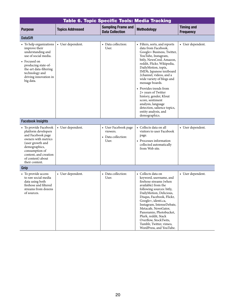|                                                                                                                                                                                                                 | Table 6. Topic Specific Tools: Media Tracking |                                                                 |                                                                                                                                                                                                                                                                                                                                                                                                                                                                                                |                                       |  |
|-----------------------------------------------------------------------------------------------------------------------------------------------------------------------------------------------------------------|-----------------------------------------------|-----------------------------------------------------------------|------------------------------------------------------------------------------------------------------------------------------------------------------------------------------------------------------------------------------------------------------------------------------------------------------------------------------------------------------------------------------------------------------------------------------------------------------------------------------------------------|---------------------------------------|--|
| <b>Purpose</b>                                                                                                                                                                                                  | <b>Topics Addressed</b>                       | <b>Sampling Frame and</b><br><b>Data Collection</b>             | <b>Methodology</b>                                                                                                                                                                                                                                                                                                                                                                                                                                                                             | <b>Timing and</b><br><b>Frequency</b> |  |
| <b>DataSift</b>                                                                                                                                                                                                 |                                               |                                                                 |                                                                                                                                                                                                                                                                                                                                                                                                                                                                                                |                                       |  |
| • To help organizations<br>improve their<br>understanding and<br>use of social media.<br>• Focused on<br>producing state-of-<br>the-art data-filtering<br>technology and<br>driving innovation in<br>big data.  | • User dependent.                             | • Data collection:<br>User.                                     | • Filters, sorts, and reports<br>data from Facebook,<br>Google+ Business, Twitter,<br>YouTube, Instagram,<br>bitly, NewsCred, Amazon,<br>reddit, Flickr, Wikipedia,<br>DailyMotion, topix,<br>IMDb, Japanese textboard<br>2channel, videos, and a<br>wide variety of blogs and<br>message boards.<br>• Provides trends from<br>2+ years of Twitter<br>history, gender, Klout<br>score, sentiment<br>analysis, language<br>detection, salience topics,<br>entity analysis, and<br>demographics. | • User dependent.                     |  |
| <b>Facebook Insights</b>                                                                                                                                                                                        |                                               |                                                                 |                                                                                                                                                                                                                                                                                                                                                                                                                                                                                                |                                       |  |
| • To provide Facebook<br>platform developers<br>and Facebook page<br>owners with metrics<br>(user growth and<br>demographics,<br>consumption of<br>content, and creation<br>of content) about<br>their content. | • User dependent.                             | • User Facebook page<br>viewers.<br>• Data collection:<br>User. | • Collects data on all<br>visitors to user Facebook<br>page.<br>• Processes information<br>collected automatically<br>from Web site.                                                                                                                                                                                                                                                                                                                                                           | • User dependent.                     |  |
| Gnip                                                                                                                                                                                                            |                                               |                                                                 |                                                                                                                                                                                                                                                                                                                                                                                                                                                                                                |                                       |  |
| • To provide access<br>to raw social media<br>data using both<br>firehose and filtered<br>streams from dozens<br>of sources.                                                                                    | • User dependent.                             | • Data collection:<br>User.                                     | • Collects data on<br>keyword, username, and<br>firehose streams (when<br>available) from the<br>following sources: bitly,<br>DailyMotion, Delicious,<br>Disqus, Facebook, Flickr,<br>Google+, identi.ca,<br>Instagram, IntenseDebate,<br>Metacafe, NewsGator,<br>Panoramio, Photobucket,<br>Plurk, reddit, Stack<br>Overflow, StockTwits,<br>Tumblr, Twitter, vimeo,<br>WordPress, and YouTube.                                                                                               | • User dependent.                     |  |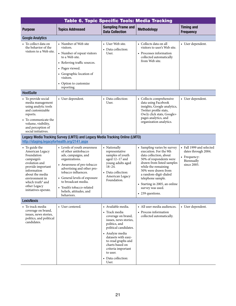| Table 6. Topic Specific Tools: Media Tracking                                                                                                                                                                                   |                                                                                                                                                                                                                                                                                                              |                                                                                                                                                                                                                                                                                  |                                                                                                                                                                                                                                                                                                              |                                                                                              |
|---------------------------------------------------------------------------------------------------------------------------------------------------------------------------------------------------------------------------------|--------------------------------------------------------------------------------------------------------------------------------------------------------------------------------------------------------------------------------------------------------------------------------------------------------------|----------------------------------------------------------------------------------------------------------------------------------------------------------------------------------------------------------------------------------------------------------------------------------|--------------------------------------------------------------------------------------------------------------------------------------------------------------------------------------------------------------------------------------------------------------------------------------------------------------|----------------------------------------------------------------------------------------------|
| <b>Purpose</b>                                                                                                                                                                                                                  | <b>Topics Addressed</b>                                                                                                                                                                                                                                                                                      | <b>Sampling Frame and</b><br><b>Data Collection</b>                                                                                                                                                                                                                              | <b>Methodology</b>                                                                                                                                                                                                                                                                                           | <b>Timing and</b><br><b>Frequency</b>                                                        |
| <b>Google Analytics</b>                                                                                                                                                                                                         |                                                                                                                                                                                                                                                                                                              |                                                                                                                                                                                                                                                                                  |                                                                                                                                                                                                                                                                                                              |                                                                                              |
| • To collect data on<br>the behavior of the<br>visitors to a Web site.                                                                                                                                                          | • Number of Web site<br>visitors.<br>• Number of repeat visitors<br>to a Web site.<br>• Referring traffic sources.<br>• Pages viewed.<br>• Geographic location of<br>visitors.<br>• Option to customize<br>reporting.                                                                                        | • User Web site.<br>• Data collection:<br>User.                                                                                                                                                                                                                                  | • Collects data on all<br>visitors to user's Web site.<br>• Processes information<br>collected automatically<br>from Web site.                                                                                                                                                                               | • User dependent.                                                                            |
| <b>HootSuite</b>                                                                                                                                                                                                                |                                                                                                                                                                                                                                                                                                              |                                                                                                                                                                                                                                                                                  |                                                                                                                                                                                                                                                                                                              |                                                                                              |
| • To provide social<br>media management<br>using analytic tools<br>and customizable<br>reports.<br>• To communicate the<br>volume, visibility,<br>and perception of<br>social initiatives.                                      | • User dependent.                                                                                                                                                                                                                                                                                            | • Data collection:<br>User.                                                                                                                                                                                                                                                      | • Collects comprehensive<br>data using Facebook<br>insights, Google analytics,<br>Twitter profile stats,<br>Ow.ly click stats, Google+<br>pages analytics, and<br>organization analytics.                                                                                                                    | • User dependent.                                                                            |
| http://staging.legacyforhealth.org/2141.aspx                                                                                                                                                                                    | Legacy Media Tracking Survey (LMTS) and Legacy Media Tracking Online (LMTO)                                                                                                                                                                                                                                  |                                                                                                                                                                                                                                                                                  |                                                                                                                                                                                                                                                                                                              |                                                                                              |
| • To guide the<br>American Legacy<br>Foundation<br>campaign's<br>evolution and<br>provide important<br>information<br>about the media<br>environment in<br>which truth <sup>®</sup> and<br>other Legacy<br>initiatives operate. | • Levels of youth awareness<br>of other antitobacco<br>ads, campaigns, and<br>organizations.<br>• Awareness of pro-tobacco<br>advertising and other pro-<br>tobacco influences.<br>• General levels of exposure<br>to broadcast media.<br>• Youth's tobacco-related<br>beliefs, attitudes, and<br>behaviors. | • Nationally<br>representative<br>samples of youth<br>aged $12-17$ and<br>young adults aged<br>$18 - 24.$<br>• Data collection:<br>American Legacy<br>Foundation.                                                                                                                | • Sampling varies by survey<br>execution. For the 9th<br>data collection, about<br>50% of respondents were<br>drawn from listed samples<br>while the remaining<br>50% were drawn from<br>a random-digit-dialed<br>telephone sample.<br>• Starting in 2005, an online<br>survey was used.<br>• 239 questions. | • Fall 1999 and selected<br>dates through 2004.<br>• Frequency:<br>Biennually<br>since 2005. |
| <b>LexisNexis</b>                                                                                                                                                                                                               |                                                                                                                                                                                                                                                                                                              |                                                                                                                                                                                                                                                                                  |                                                                                                                                                                                                                                                                                                              |                                                                                              |
| • To track media<br>coverage on brand,<br>issues, news stories,<br>politics, and political<br>candidates.                                                                                                                       | • User centered.                                                                                                                                                                                                                                                                                             | • Available media.<br>• Track media<br>coverage on brand,<br>issues, news stories,<br>politics, and<br>political candidates.<br>• Analyze media<br>datasets with easy-<br>to-read graphs and<br>charts based on<br>criteria important<br>to user.<br>• Data collection:<br>User. | • All user media audiences.<br>• Process information<br>collected automatically.                                                                                                                                                                                                                             | • User dependent.                                                                            |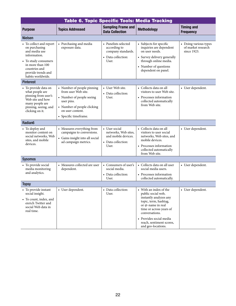|                                                                                                                                                                                   | Table 6. Topic Specific Tools: Media Tracking                                                                                                                            |                                                                                             |                                                                                                                                                                                                                                              |                                                            |  |
|-----------------------------------------------------------------------------------------------------------------------------------------------------------------------------------|--------------------------------------------------------------------------------------------------------------------------------------------------------------------------|---------------------------------------------------------------------------------------------|----------------------------------------------------------------------------------------------------------------------------------------------------------------------------------------------------------------------------------------------|------------------------------------------------------------|--|
| <b>Purpose</b>                                                                                                                                                                    | <b>Topics Addressed</b>                                                                                                                                                  | <b>Sampling Frame and</b><br><b>Data Collection</b>                                         | <b>Methodology</b>                                                                                                                                                                                                                           | <b>Timing and</b><br><b>Frequency</b>                      |  |
| <b>Nielsen</b>                                                                                                                                                                    |                                                                                                                                                                          |                                                                                             |                                                                                                                                                                                                                                              |                                                            |  |
| • To collect and report<br>on purchasing<br>and media use<br>information.<br>• To study consumers<br>in more than 100<br>countries and<br>provide trends and<br>habits worldwide. | • Purchasing and media<br>exposure data.                                                                                                                                 | • Panelists selected<br>according to<br>company standards.<br>• Data collection:<br>User.   | • Subjects for specific<br>inquiries are dependent<br>on user needs.<br>• Survey delivery generally<br>through online media.<br>• Number of questions<br>dependent on panel.                                                                 | • Doing various types<br>of market research<br>since 1923. |  |
| <b>Pinterest</b>                                                                                                                                                                  |                                                                                                                                                                          |                                                                                             |                                                                                                                                                                                                                                              |                                                            |  |
| • To provide data on<br>what people are<br>pinning from user's<br>Web site and how<br>many people are<br>pinning, seeing, and<br>clicking on it.                                  | • Number of people pinning<br>from user Web site.<br>• Number of people seeing<br>user pins.<br>• Number of people clicking<br>on user content.<br>• Specific timeframe. | • User Web site.<br>• Data collection:<br>User.                                             | • Collects data on all<br>visitors to user Web site.<br>• Processes information<br>collected automatically<br>from Web site.                                                                                                                 | • User dependent.                                          |  |
| Radian6                                                                                                                                                                           |                                                                                                                                                                          |                                                                                             |                                                                                                                                                                                                                                              |                                                            |  |
| • To deploy and<br>monitor content on<br>social networks, Web<br>sites, and mobile<br>devices.                                                                                    | • Measures everything from<br>campaigns to conversions.<br>• Gains insight into all social<br>ad campaign metrics.                                                       | • User social<br>networks, Web sites,<br>and mobile devices.<br>• Data collection:<br>User. | • Collects data on all<br>visitors to user social<br>networks, Web sites, and<br>mobile devices.<br>• Processes information<br>collected automatically<br>from Web site.                                                                     | • User dependent.                                          |  |
| <b>Sysomos</b>                                                                                                                                                                    |                                                                                                                                                                          |                                                                                             |                                                                                                                                                                                                                                              |                                                            |  |
| • To provide social<br>media monitoring<br>and analytics.                                                                                                                         | • Measures collected are user<br>dependent.                                                                                                                              | • Consumers of user's<br>social media.<br>• Data collection:<br>User.                       | • Collects data on all user<br>social media users.<br>• Processes information<br>collected automatically.                                                                                                                                    | • User dependent.                                          |  |
| <b>Topsy</b>                                                                                                                                                                      |                                                                                                                                                                          |                                                                                             |                                                                                                                                                                                                                                              |                                                            |  |
| • To provide instant<br>social insight.<br>• To count, index, and<br>enrich Twitter and<br>social Web data in<br>real time.                                                       | • User dependent.                                                                                                                                                        | Data collection:<br>User.                                                                   | With an index of the<br>public social web,<br>instantly analyzes any<br>topic, term, hashtag,<br>or @-name in real<br>time or across years of<br>conversations.<br>• Provides social media<br>reach, sentiment scores,<br>and geo-locations. | • User dependent.                                          |  |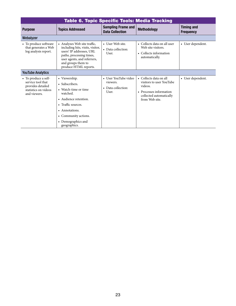| <b>Table 6. Topic Specific Tools: Media Tracking</b>                                                   |                                                                                                                                                                                                        |                                                                 |                                                                                                                                       |                                       |
|--------------------------------------------------------------------------------------------------------|--------------------------------------------------------------------------------------------------------------------------------------------------------------------------------------------------------|-----------------------------------------------------------------|---------------------------------------------------------------------------------------------------------------------------------------|---------------------------------------|
| <b>Purpose</b>                                                                                         | <b>Topics Addressed</b>                                                                                                                                                                                | <b>Sampling Frame and</b><br><b>Data Collection</b>             | <b>Methodology</b>                                                                                                                    | <b>Timing and</b><br><b>Frequency</b> |
| Webalyzer                                                                                              |                                                                                                                                                                                                        |                                                                 |                                                                                                                                       |                                       |
| • To produce software<br>that generates a Web<br>log analysis report.                                  | • Analyzes Web site traffic,<br>including hits, visits, visitor,<br>users' IP addresses, URL<br>paths, processing times,<br>user agents, and referrers,<br>and groups them to<br>produce HTML reports. | • User Web site.<br>• Data collection:<br>User.                 | • Collects data on all user<br>Web site visitors.<br>• Collects information<br>automatically.                                         | • User dependent.                     |
| <b>YouTube Analytics</b>                                                                               |                                                                                                                                                                                                        |                                                                 |                                                                                                                                       |                                       |
| • To produce a self-<br>service tool that<br>provides detailed<br>statistics on videos<br>and viewers. | • Viewership.<br>• Subscribers.<br>• Watch-time or time<br>watched.<br>• Audience retention.<br>• Traffic sources.<br>• Annotations.<br>• Community actions.<br>• Demographics and<br>geographics.     | • User YouTube video<br>viewers.<br>• Data collection:<br>User. | • Collects data on all<br>visitors to user YouTube<br>videos.<br>• Processes information<br>collected automatically<br>from Web site. | • User dependent.                     |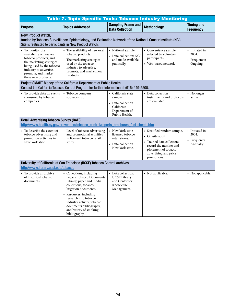<span id="page-27-0"></span>

| <b>Table 7. Topic-Specific Tools: Tobacco Industry Monitoring</b>                                                                                                                                      |                                                                                                                                                                                                                                                                                          |                                                                                                      |                                                                                                                                                                       |                                                      |
|--------------------------------------------------------------------------------------------------------------------------------------------------------------------------------------------------------|------------------------------------------------------------------------------------------------------------------------------------------------------------------------------------------------------------------------------------------------------------------------------------------|------------------------------------------------------------------------------------------------------|-----------------------------------------------------------------------------------------------------------------------------------------------------------------------|------------------------------------------------------|
| <b>Purpose</b>                                                                                                                                                                                         | <b>Topics Addressed</b>                                                                                                                                                                                                                                                                  | <b>Sampling Frame and</b><br><b>Data Collection</b>                                                  | <b>Methodology</b>                                                                                                                                                    | <b>Timing and</b><br><b>Frequency</b>                |
| New Product Watch,<br>funded by Tobacco Surveillance, Epidemiology, and Evaluation Network of the National Cancer Institute (NCI)<br>Site is restricted to participants in New Product Watch.          |                                                                                                                                                                                                                                                                                          |                                                                                                      |                                                                                                                                                                       |                                                      |
| • To monitor the<br>availability of new oral<br>tobacco products, and<br>the marketing strategies<br>being used by the tobacco<br>industry to advertise,<br>promote, and market<br>these new products. | • The availability of new oral<br>tobacco products.<br>• The marketing strategies<br>used by the tobacco<br>industry to advertise,<br>promote, and market new<br>products.                                                                                                               | • National sample.<br>• Data collection: NCI<br>and made available<br>publically.                    | • Convenience sample<br>selected by volunteer<br>participants.<br>• Web-based network.                                                                                | • Initiated in<br>2004.<br>• Frequency:<br>Ongoing.  |
|                                                                                                                                                                                                        | Project SMART Money of the California Department of Public Health<br>Contact the California Tobacco Control Program for further information at (916) 449-5500.                                                                                                                           |                                                                                                      |                                                                                                                                                                       |                                                      |
| • To provide data on events<br>sponsored by tobacco<br>companies.                                                                                                                                      | • Tobacco company<br>sponsorship.                                                                                                                                                                                                                                                        | • California state<br>sample.<br>• Data collection:<br>California<br>Department of<br>Public Health. | • Data collection<br>instruments and protocols<br>are available.                                                                                                      | • No longer<br>active.                               |
| <b>Retail Advertising Tobacco Survey (RATS)</b>                                                                                                                                                        | http://www.health.ny.gov/prevention/tobacco_control/reports_brochures_fact-sheets.htm                                                                                                                                                                                                    |                                                                                                      |                                                                                                                                                                       |                                                      |
| • To describe the extent of<br>tobacco advertising and<br>promotion activities in<br>New York state.                                                                                                   | • Level of tobacco advertising<br>and promotional activities<br>in licensed tobacco retail<br>stores.                                                                                                                                                                                    | • New York state-<br>licensed tobacco<br>retail stores.<br>• Data collection:<br>New York state.     | • Stratified random sample.<br>• On-site audit.<br>• Trained data collectors<br>record the number and<br>placement of tobacco<br>advertising and price<br>promotions. | • Initiated in<br>2004.<br>• Frequency:<br>Annually. |
| University of California at San Francisco (UCSF) Tobacco Control Archives<br>http://www.library.ucsf.edu/tobacco                                                                                       |                                                                                                                                                                                                                                                                                          |                                                                                                      |                                                                                                                                                                       |                                                      |
| • To provide an archive<br>of historical tobacco<br>documents.                                                                                                                                         | • Collections, including<br>Legacy Tobacco Documents<br>Library, paper and media<br>collections, tobacco<br>litigation documents.<br>• Resources, including<br>research into tobacco<br>industry activity, tobacco<br>documents bibliography,<br>and history of smoking<br>bibliography. | • Data collection:<br><b>UCSF Library</b><br>and Center for<br>Knowledge<br>Management.              | • Not applicable.                                                                                                                                                     | • Not applicable.                                    |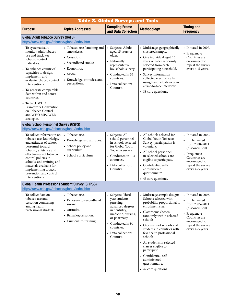<span id="page-28-0"></span>

| <b>Table 8. Global Surveys and Tools</b>                                                                                                                                                                                                                                                                                                                                                     |                                                                                                                                                             |                                                                                                                                                                                                 |                                                                                                                                                                                                                                                                                                                                                                                                                                    |                                                                                                                                                                       |  |  |
|----------------------------------------------------------------------------------------------------------------------------------------------------------------------------------------------------------------------------------------------------------------------------------------------------------------------------------------------------------------------------------------------|-------------------------------------------------------------------------------------------------------------------------------------------------------------|-------------------------------------------------------------------------------------------------------------------------------------------------------------------------------------------------|------------------------------------------------------------------------------------------------------------------------------------------------------------------------------------------------------------------------------------------------------------------------------------------------------------------------------------------------------------------------------------------------------------------------------------|-----------------------------------------------------------------------------------------------------------------------------------------------------------------------|--|--|
| <b>Purpose</b>                                                                                                                                                                                                                                                                                                                                                                               | <b>Topics Addressed</b>                                                                                                                                     | <b>Sampling Frame</b><br>and Data Collection                                                                                                                                                    | <b>Methodology</b>                                                                                                                                                                                                                                                                                                                                                                                                                 | <b>Timing and</b><br><b>Frequency</b>                                                                                                                                 |  |  |
| <b>Global Adult Tobacco Survey (GATS)</b><br>http://www.cdc.gov/tobacco/global/index.htm                                                                                                                                                                                                                                                                                                     |                                                                                                                                                             |                                                                                                                                                                                                 |                                                                                                                                                                                                                                                                                                                                                                                                                                    |                                                                                                                                                                       |  |  |
| • To systematically<br>monitor adult tobacco<br>use and track key<br>tobacco control<br>indicators.<br>• To enhance countries'<br>capacities to design,<br>implement, and<br>evaluate tobacco control<br>interventions.<br>• To generate comparable<br>data within and across<br>countries.<br>• To track WHO<br>Framework Convention<br>on Tobacco Control<br>and WHO MPOWER<br>strategies. | • Tobacco use (smoking and<br>smokeless).<br>• Cessation.<br>• Secondhand smoke.<br>• Economics.<br>• Media.<br>• Knowledge, attitudes, and<br>perceptions. | • Subjects: Adults<br>aged 15 years or<br>older.<br>• Nationally<br>representative<br>household survey.<br>• Conducted in 33<br>countries.<br>• Data collection:<br>Country.                    | • Multistage, geographically<br>clustered sample.<br>• One individual aged 15<br>years or older randomly<br>selected from each<br>participating household.<br>• Survey information<br>collected electronically<br>using handheld devices in<br>a face-to-face interview.<br>• 88 core questions.                                                                                                                                   | • Initiated in 2007.<br>• Frequency:<br>Countries are<br>encouraged to<br>repeat the survey<br>every 4-5 years.                                                       |  |  |
| <b>Global School Personnel Survey (GSPS)</b><br>http://www.cdc.gov/tobacco/global/index.htm                                                                                                                                                                                                                                                                                                  |                                                                                                                                                             |                                                                                                                                                                                                 |                                                                                                                                                                                                                                                                                                                                                                                                                                    |                                                                                                                                                                       |  |  |
| • To collect information on<br>tobacco use, knowledge,<br>and attitudes of school<br>personnel toward<br>tobacco, existence and<br>effectiveness of tobacco<br>control policies in<br>schools, and training and<br>materials available for<br>implementing tobacco<br>prevention and control<br>interventions.                                                                               | • Tobacco use.<br>• Knowledge and attitudes.<br>• School policy and<br>curriculum.<br>• School curriculum.                                                  | • Subjects: All<br>school personnel<br>in schools selected<br>for Global Youth<br>Tobacco Survey.<br>• Conducted in 103<br>countries.<br>• Data collection:<br>Country.                         | • All schools selected for<br>Global Youth Tobacco<br>Survey; participation is<br>voluntary.<br>• All school personnel<br>in selected schools are<br>eligible to participate.<br>• Confidential, self-<br>administered<br>questionnaire.<br>• 45 core questions.                                                                                                                                                                   | • Initiated in 2000.<br>• Implemented<br>from 2000-2011<br>(discontinued).<br>• Frequency:<br>Countries are<br>encouraged to<br>repeat the survey<br>every 4-5 years. |  |  |
| <b>Global Health Professions Student Survey (GHPSS)</b>                                                                                                                                                                                                                                                                                                                                      |                                                                                                                                                             |                                                                                                                                                                                                 |                                                                                                                                                                                                                                                                                                                                                                                                                                    |                                                                                                                                                                       |  |  |
| http://www.cdc.gov/tobacco/global/index.htm                                                                                                                                                                                                                                                                                                                                                  |                                                                                                                                                             |                                                                                                                                                                                                 |                                                                                                                                                                                                                                                                                                                                                                                                                                    |                                                                                                                                                                       |  |  |
| • To collect data on<br>tobacco use and<br>cessation counseling<br>among health<br>professional students.                                                                                                                                                                                                                                                                                    | • Tobacco use.<br>• Exposure to secondhand<br>smoke.<br>• Attitudes.<br>• Behavior/cessation.<br>• Curriculum/training.                                     | • Subjects: Third-<br>year students<br>pursuing<br>advanced degrees<br>in dentistry,<br>medicine, nursing,<br>or pharmacy.<br>• Conducted in 94<br>countries.<br>• Data collection:<br>Country. | • Multistage sample design:<br>Schools selected with<br>probability proportional to<br>enrollment size.<br>• Classrooms chosen<br>randomly within selected<br>schools.<br>• Or, census of schools and<br>students in countries with<br>few health professional<br>schools.<br>• All students in selected<br>classes eligible to<br>participate.<br>• Confidential, self-<br>administered<br>questionnaire.<br>• 42 core questions. | • Initiated in 2005.<br>• Implemented<br>from 2005-2011<br>(discontinued).<br>• Frequency:<br>Countries are<br>encouraged to<br>repeat the survey<br>every 4-5 years. |  |  |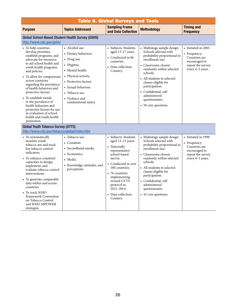| <b>Table 8. Global Surveys and Tools</b>                                                                                                                                                                                                                                                                                                                                                                                                                                         |                                                                                                                                                                                                                              |                                                                                                                                                                                                                                                                  |                                                                                                                                                                                                                                                                                                                                   |                                                                                                                 |  |
|----------------------------------------------------------------------------------------------------------------------------------------------------------------------------------------------------------------------------------------------------------------------------------------------------------------------------------------------------------------------------------------------------------------------------------------------------------------------------------|------------------------------------------------------------------------------------------------------------------------------------------------------------------------------------------------------------------------------|------------------------------------------------------------------------------------------------------------------------------------------------------------------------------------------------------------------------------------------------------------------|-----------------------------------------------------------------------------------------------------------------------------------------------------------------------------------------------------------------------------------------------------------------------------------------------------------------------------------|-----------------------------------------------------------------------------------------------------------------|--|
| <b>Purpose</b>                                                                                                                                                                                                                                                                                                                                                                                                                                                                   | <b>Topics Addressed</b>                                                                                                                                                                                                      | <b>Sampling Frame</b><br>and Data Collection                                                                                                                                                                                                                     | <b>Methodology</b>                                                                                                                                                                                                                                                                                                                | <b>Timing and</b><br><b>Frequency</b>                                                                           |  |
| Global School-Based Student Health Survey (GSHS)<br>http://www.cdc.gov/gshs/                                                                                                                                                                                                                                                                                                                                                                                                     |                                                                                                                                                                                                                              |                                                                                                                                                                                                                                                                  |                                                                                                                                                                                                                                                                                                                                   |                                                                                                                 |  |
| • To help countries<br>develop priorities,<br>establish programs, and<br>advocate for resources<br>to aid school health and<br>youth health programs<br>and policies.<br>• To allow for comparisons<br>across countries<br>regarding the prevalence<br>of health behaviors and<br>protective factors.<br>• To establish trends<br>in the prevalence of<br>health behaviors and<br>protective factors for use<br>in evaluation of school<br>health and youth health<br>promotion. | • Alcohol use.<br>• Dietary behaviors.<br>• Drug use.<br>• Hygiene.<br>• Mental health.<br>• Physical activity.<br>• Protective factors.<br>• Sexual behaviors.<br>• Tobacco use.<br>• Violence and<br>unintentional injury. | • Subjects: Students<br>aged 13-17 years.<br>• Conducted in 86<br>countries.<br>• Data collection:<br>Country.                                                                                                                                                   | • Multistage sample design:<br>Schools selected with<br>probability proportional to<br>enrollment size.<br>• Classrooms chosen<br>randomly within selected<br>schools.<br>• All students in selected<br>classes eligible for<br>participation.<br>• Confidential, self-<br>administered<br>questionnaire.<br>• 58 core questions. | • Initiated in 2003.<br>• Frequency:<br>Countries are<br>encouraged to<br>repeat the survey<br>every 4-5 years. |  |
| <b>Global Youth Tobacco Survey (GYTS)</b><br>http://www.cdc.gov/tobacco/global/index.htm                                                                                                                                                                                                                                                                                                                                                                                         |                                                                                                                                                                                                                              |                                                                                                                                                                                                                                                                  |                                                                                                                                                                                                                                                                                                                                   |                                                                                                                 |  |
| • To systematically<br>monitor youth<br>tobacco use and track<br>key tobacco control<br>indicators.<br>• To enhance countries'<br>capacities to design,<br>implement, and<br>evaluate tobacco control<br>interventions.<br>• To generate comparable<br>data within and across<br>countries.<br>• To track WHO<br><b>Framework Convention</b><br>on Tobacco Control<br>and WHO MPOWER<br>strategies.                                                                              | • Tobacco use.<br>• Cessation.<br>• Secondhand smoke.<br>• Economics.<br>• Media.<br>• Knowledge, attitudes, and<br>perceptions.                                                                                             | • Subjects: Students<br>aged 13-15 years.<br>• Nationally<br>representative<br>school-based<br>survey.<br>• Conducted in over<br>180 countries.<br>• 76 countries<br>implementing<br>revised GYTS<br>protocol in<br>2012-2014.<br>• Data collection:<br>Country. | • Multistage sample design:<br>Schools selected with<br>probability proportional to<br>enrollment size.<br>• Classrooms chosen<br>randomly within selected<br>schools.<br>• All students in selected<br>classes eligible for<br>participation.<br>• Confidential, self-<br>administered<br>questionnaire.<br>• 43 core questions. | • Initiated in 1999.<br>• Frequency:<br>Countries are<br>encouraged to<br>repeat the survey<br>every 4-5 years. |  |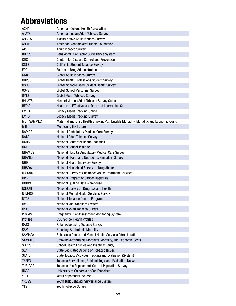### <span id="page-30-0"></span>Abbreviations

| <b>ACHA</b>       | American College Health Association                                                     |
|-------------------|-----------------------------------------------------------------------------------------|
| AI ATS            | American Indian Adult Tobacco Survey                                                    |
| <b>AN ATS</b>     | Alaska Native Adult Tobacco Survey                                                      |
| <b>ANRA</b>       | American Nonsmokers' Rights Foundation                                                  |
| <b>ATS</b>        | <b>Adult Tobacco Survey</b>                                                             |
| <b>BRFSS</b>      | Behavioral Risk Factor Surveillance System                                              |
| <b>CDC</b>        | <b>Centers for Disease Control and Prevention</b>                                       |
| <b>CSTS</b>       | California Student Tobacco Survey                                                       |
| <b>FDA</b>        | Food and Drug Administration                                                            |
| <b>GATS</b>       | Global Adult Tobacco Survey                                                             |
| <b>GHPSS</b>      | Global Health Professions Student Survey                                                |
| <b>GSHS</b>       | Global School-Based Student Health Survey                                               |
| <b>GSPS</b>       | <b>Global School Personnel Survey</b>                                                   |
| <b>GYTS</b>       | Global Youth Tobacco Survey                                                             |
| H/L ATS           | Hispanic/Latino Adult Tobacco Survey Guide                                              |
| <b>HEDIS</b>      | Healthcare Effectiveness Data and Information Set                                       |
| LMT <sub>0</sub>  | <b>Legacy Media Tracking Online</b>                                                     |
| <b>LMTS</b>       | <b>Legacy Media Tracking Survey</b>                                                     |
| <b>MCH SAMMEC</b> | Maternal and Child Health Smoking-Attributable Morbidity, Mortality, and Economic Costs |
| <b>MTF</b>        | Monitoring the Future                                                                   |
| <b>NAMCS</b>      | National Ambulatory Medical Care Survey                                                 |
| <b>NATS</b>       | National Adult Tobacco Survey                                                           |
| <b>NCHS</b>       | <b>National Center for Health Statistics</b>                                            |
| <b>NCI</b>        | <b>National Cancer Institute</b>                                                        |
| <b>NHAMCS</b>     | National Hospital Ambulatory Medical Care Survey                                        |
| <b>NHANES</b>     | National Health and Nutrition Examination Survey                                        |
| <b>NHIS</b>       | National Health Interview Survey                                                        |
| <b>NHSDA</b>      | National Household Survey on Drug Abuse                                                 |
| <b>N-SSATS</b>    | National Survey of Substance Abuse Treatment Services                                   |
| <b>NPCR</b>       | National Program of Cancer Registries                                                   |
| NQDW              | National Quitline Data Warehouse                                                        |
| <b>NSDUH</b>      | National Survey on Drug Use and Health                                                  |
| N-MHSS            | National Mental Health Services Survey                                                  |
| <b>NTCP</b>       | National Tobacco Control Program                                                        |
| <b>NVSS</b>       | National Vital Statistics System                                                        |
| <b>NYTS</b>       | National Youth Tobacco Survey                                                           |
| <b>PRAMS</b>      | Pregnancy Risk Assessment Monitoring System                                             |
| Profiles          | <b>CDC School Health Profiles</b>                                                       |
| <b>RATS</b>       | <b>Retail Advertising Tobacco Survey</b>                                                |
| <b>SAM</b>        | Smoking-Attributable Mortality                                                          |
| <b>SAMHSA</b>     | Substance Abuse and Mental Health Services Administration                               |
| <b>SAMMEC</b>     | Smoking-Attributable Morbidity, Mortality, and Economic Costs                           |
| <b>SHPPS</b>      | School Health Policies and Practices Study                                              |
| <b>SLATI</b>      | State Legislated Actions on Tobacco Issues                                              |
| <b>STATE</b>      | State Tobacco Activities Tracking and Evaluation (System)                               |
| <b>TSEEN</b>      | Tobacco Surveillance, Epidemiology, and Evaluation Network                              |
| <b>TUS-CPS</b>    | <b>Tobacco Use Supplement-Current Population Survey</b>                                 |
| <b>UCSF</b>       | University of California at San Francisco                                               |
| <b>YPLL</b>       | Years of potential life lost                                                            |
| <b>YRBSS</b>      | Youth Risk Behavior Surveillance System                                                 |
| <b>YTS</b>        | Youth Tobacco Survey                                                                    |